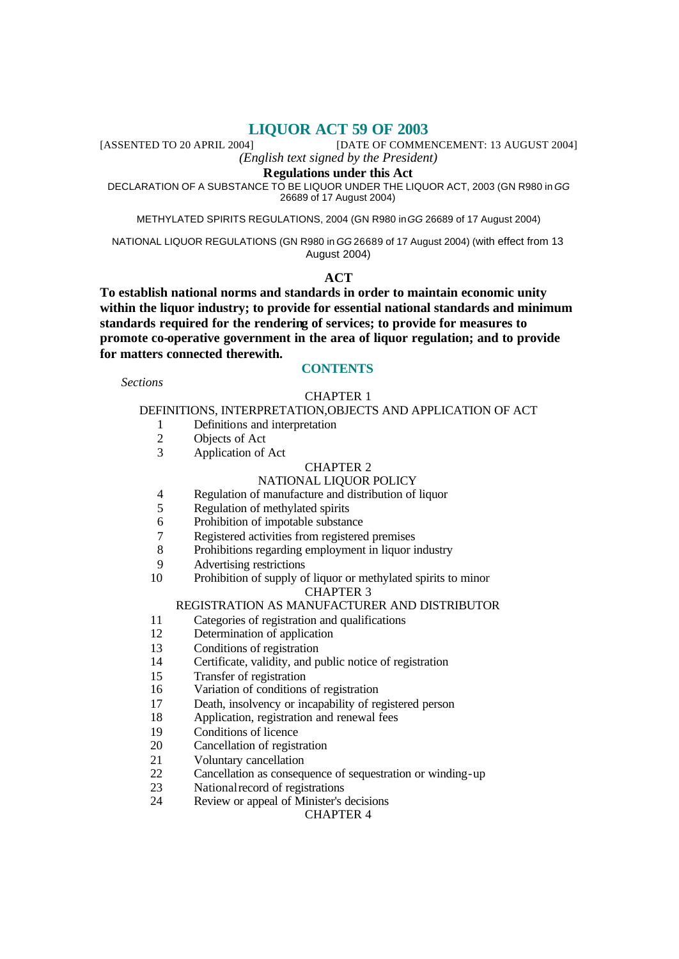**LIQUOR ACT 59 OF 2003**<br>[DATE OF COMME [DATE OF COMMENCEMENT: 13 AUGUST 2004]

*(English text signed by the President)*

# **Regulations under this Act**

DECLARATION OF A SUBSTANCE TO BE LIQUOR UNDER THE LIQUOR ACT, 2003 (GN R980 in *GG* 26689 of 17 August 2004)

METHYLATED SPIRITS REGULATIONS, 2004 (GN R980 in *GG* 26689 of 17 August 2004)

NATIONAL LIQUOR REGULATIONS (GN R980 in *GG* 26689 of 17 August 2004) (with effect from 13 August 2004)

# **ACT**

**To establish national norms and standards in order to maintain economic unity within the liquor industry; to provide for essential national standards and minimum standards required for the rendering of services; to provide for measures to promote co-operative government in the area of liquor regulation; and to provide for matters connected therewith.**

# **CONTENTS**

*Sections*

# CHAPTER 1

#### DEFINITIONS, INTERPRETATION,OBJECTS AND APPLICATION OF ACT

- 1 Definitions and interpretation
- 2 Objects of Act
- 3 Application of Act

#### CHAPTER 2

# NATIONAL LIQUOR POLICY

- 4 Regulation of manufacture and distribution of liquor
- 5 Regulation of methylated spirits
- 6 Prohibition of impotable substance
- 7 Registered activities from registered premises
- 8 Prohibitions regarding employment in liquor industry
- 9 Advertising restrictions
- 10 Prohibition of supply of liquor or methylated spirits to minor CHAPTER 3

#### REGISTRATION AS MANUFACTURER AND DISTRIBUTOR

- 11 Categories of registration and qualifications
- 12 Determination of application
- 13 Conditions of registration
- 14 Certificate, validity, and public notice of registration
- 15 Transfer of registration
- 16 Variation of conditions of registration
- 17 Death, insolvency or incapability of registered person
- 18 Application, registration and renewal fees
- 19 Conditions of licence
- 20 Cancellation of registration
- 21 Voluntary cancellation
- 22 Cancellation as consequence of sequestration or winding-up
- 23 National record of registrations
- 24 Review or appeal of Minister's decisions

CHAPTER 4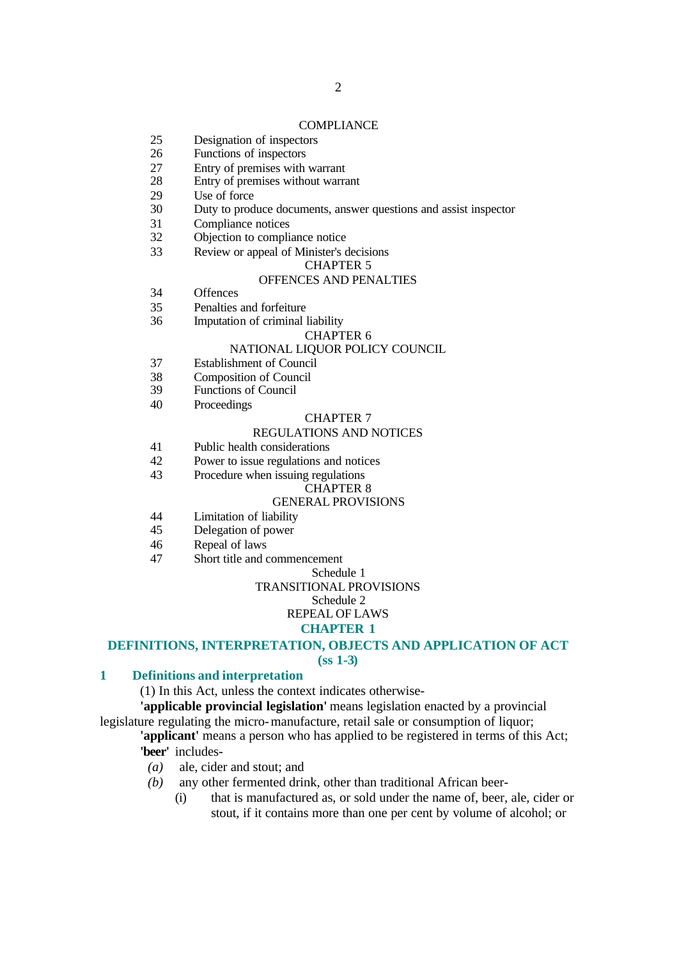#### **COMPLIANCE**

- 25 Designation of inspectors
- 26 Functions of inspectors
- 27 Entry of premises with warrant<br>28 Entry of premises without warra
- Entry of premises without warrant
- 29 Use of force
- 30 Duty to produce documents, answer questions and assist inspector
- 31 Compliance notices
- 32 Objection to compliance notice
- 33 Review or appeal of Minister's decisions

#### CHAPTER 5

# OFFENCES AND PENALTIES

- 34 Offences
- 35 Penalties and forfeiture
- 36 Imputation of criminal liability

#### CHAPTER 6

#### NATIONAL LIQUOR POLICY COUNCIL

- 37 Establishment of Council
- 38 Composition of Council
- 39 Functions of Council
- 40 Proceedings

#### CHAPTER 7

# REGULATIONS AND NOTICES

- 41 Public health considerations
- 42 Power to issue regulations and notices
- 43 Procedure when issuing regulations

#### CHAPTER 8

#### GENERAL PROVISIONS

- 44 Limitation of liability
- 45 Delegation of power
- 46 Repeal of laws
- 47 Short title and commencement

# Schedule 1

# TRANSITIONAL PROVISIONS

#### Schedule 2 REPEAL OF LAWS

# **CHAPTER 1**

#### **DEFINITIONS, INTERPRETATION, OBJECTS AND APPLICATION OF ACT (ss 1-3)**

#### **1 Definitions and interpretation**

(1) In this Act, unless the context indicates otherwise-

**'applicable provincial legislation'** means legislation enacted by a provincial legislature regulating the micro-manufacture, retail sale or consumption of liquor;

# **'applicant'** means a person who has applied to be registered in terms of this Act; **'beer'** includes-

- *(a)* ale, cider and stout; and
- *(b)* any other fermented drink, other than traditional African beer-
	- (i) that is manufactured as, or sold under the name of, beer, ale, cider or stout, if it contains more than one per cent by volume of alcohol; or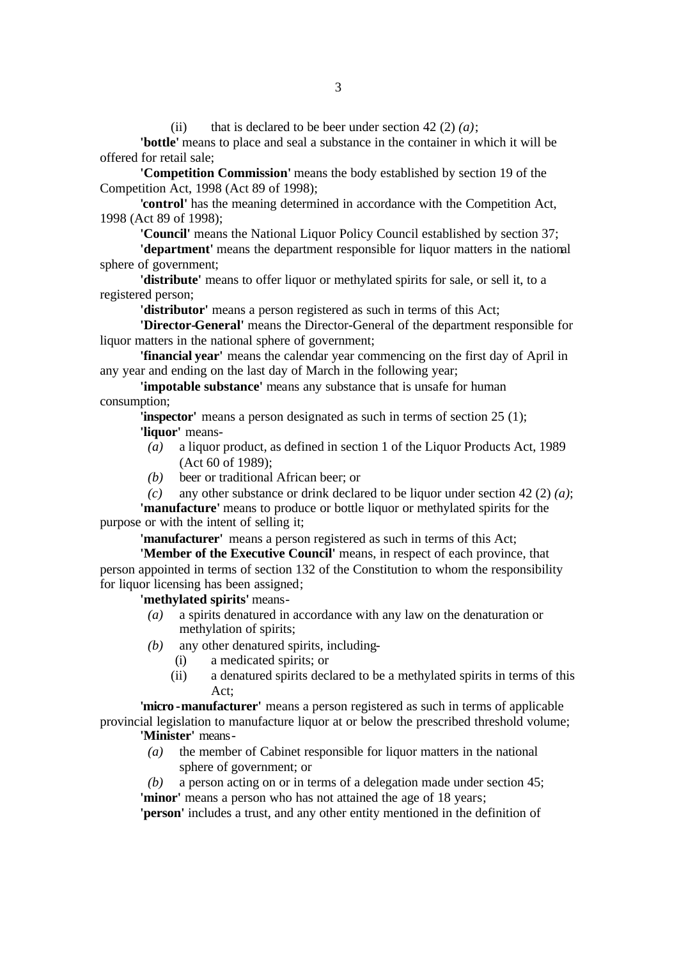(ii) that is declared to be beer under section 42 (2)  $(a)$ ;

**'bottle'** means to place and seal a substance in the container in which it will be offered for retail sale;

**'Competition Commission'** means the body established by section 19 of the Competition Act, 1998 (Act 89 of 1998);

**'control'** has the meaning determined in accordance with the Competition Act, 1998 (Act 89 of 1998);

**'Council'** means the National Liquor Policy Council established by section 37;

**'department'** means the department responsible for liquor matters in the national sphere of government;

**'distribute'** means to offer liquor or methylated spirits for sale, or sell it, to a registered person;

**'distributor'** means a person registered as such in terms of this Act;

**'Director-General'** means the Director-General of the department responsible for liquor matters in the national sphere of government;

**'financial year'** means the calendar year commencing on the first day of April in any year and ending on the last day of March in the following year;

**'impotable substance'** means any substance that is unsafe for human consumption;

**'inspector'** means a person designated as such in terms of section 25 (1); **'liquor'** means-

- *(a)* a liquor product, as defined in section 1 of the Liquor Products Act, 1989 (Act 60 of 1989);
- *(b)* beer or traditional African beer; or
- *(c)* any other substance or drink declared to be liquor under section 42 (2) *(a)*;

**'manufacture'** means to produce or bottle liquor or methylated spirits for the purpose or with the intent of selling it;

**'manufacturer'** means a person registered as such in terms of this Act;

**'Member of the Executive Council'** means, in respect of each province, that person appointed in terms of section 132 of the Constitution to whom the responsibility for liquor licensing has been assigned;

**'methylated spirits'** means-

- *(a)* a spirits denatured in accordance with any law on the denaturation or methylation of spirits;
- *(b)* any other denatured spirits, including-
	- (i) a medicated spirits; or
	- (ii) a denatured spirits declared to be a methylated spirits in terms of this Act;

**'micro -manufacturer'** means a person registered as such in terms of applicable provincial legislation to manufacture liquor at or below the prescribed threshold volume; **'Minister'** means-

- *(a)* the member of Cabinet responsible for liquor matters in the national sphere of government; or
- *(b)* a person acting on or in terms of a delegation made under section 45; **'minor'** means a person who has not attained the age of 18 years;

**'person'** includes a trust, and any other entity mentioned in the definition of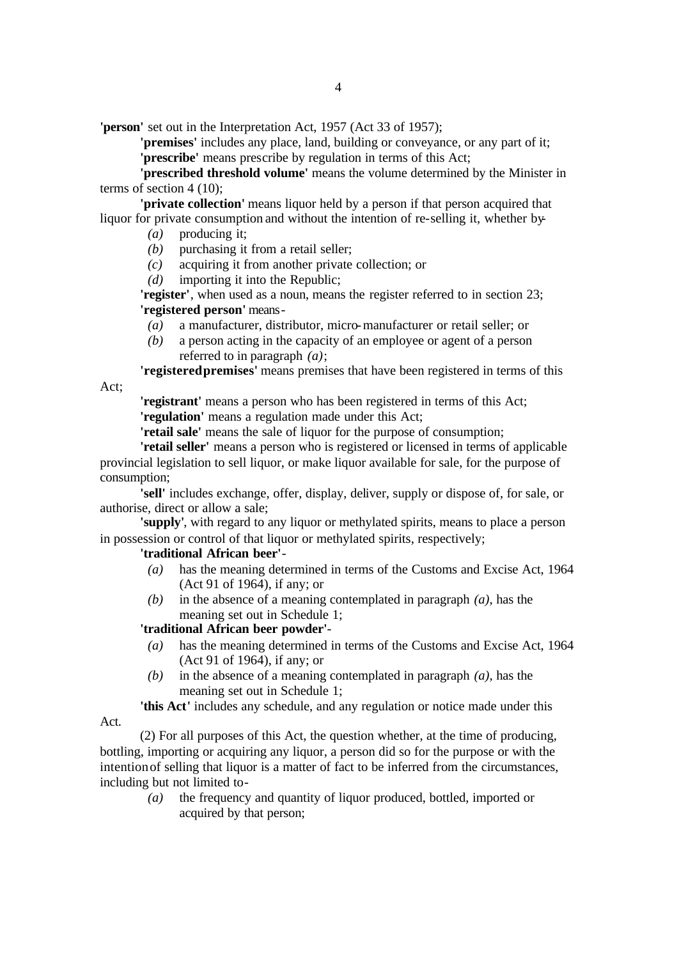**'person'** set out in the Interpretation Act, 1957 (Act 33 of 1957);

**'premises'** includes any place, land, building or conveyance, or any part of it; **'prescribe'** means prescribe by regulation in terms of this Act;

**'prescribed threshold volume'** means the volume determined by the Minister in terms of section 4 (10);

**'private collection'** means liquor held by a person if that person acquired that liquor for private consumption and without the intention of re-selling it, whether by-

*(a)* producing it;

- *(b)* purchasing it from a retail seller;
- *(c)* acquiring it from another private collection; or
- *(d)* importing it into the Republic;

**'register'**, when used as a noun, means the register referred to in section 23; **'registered person'** means-

- *(a)* a manufacturer, distributor, micro-manufacturer or retail seller; or
- *(b)* a person acting in the capacity of an employee or agent of a person referred to in paragraph *(a)*;

**'registered premises'** means premises that have been registered in terms of this

Act;

Act.

**'registrant'** means a person who has been registered in terms of this Act; **'regulation'** means a regulation made under this Act;

**'retail sale'** means the sale of liquor for the purpose of consumption;

**'retail seller'** means a person who is registered or licensed in terms of applicable provincial legislation to sell liquor, or make liquor available for sale, for the purpose of consumption;

**'sell'** includes exchange, offer, display, deliver, supply or dispose of, for sale, or authorise, direct or allow a sale;

**'supply'**, with regard to any liquor or methylated spirits, means to place a person in possession or control of that liquor or methylated spirits, respectively;

# **'traditional African beer'**-

- *(a)* has the meaning determined in terms of the Customs and Excise Act, 1964 (Act 91 of 1964), if any; or
- *(b)* in the absence of a meaning contemplated in paragraph *(a)*, has the meaning set out in Schedule 1;

# **'traditional African beer powder'**-

- *(a)* has the meaning determined in terms of the Customs and Excise Act, 1964 (Act 91 of 1964), if any; or
- *(b)* in the absence of a meaning contemplated in paragraph *(a)*, has the meaning set out in Schedule 1;

**'this Act'** includes any schedule, and any regulation or notice made under this

(2) For all purposes of this Act, the question whether, at the time of producing, bottling, importing or acquiring any liquor, a person did so for the purpose or with the intention of selling that liquor is a matter of fact to be inferred from the circumstances, including but not limited to-

*(a)* the frequency and quantity of liquor produced, bottled, imported or acquired by that person;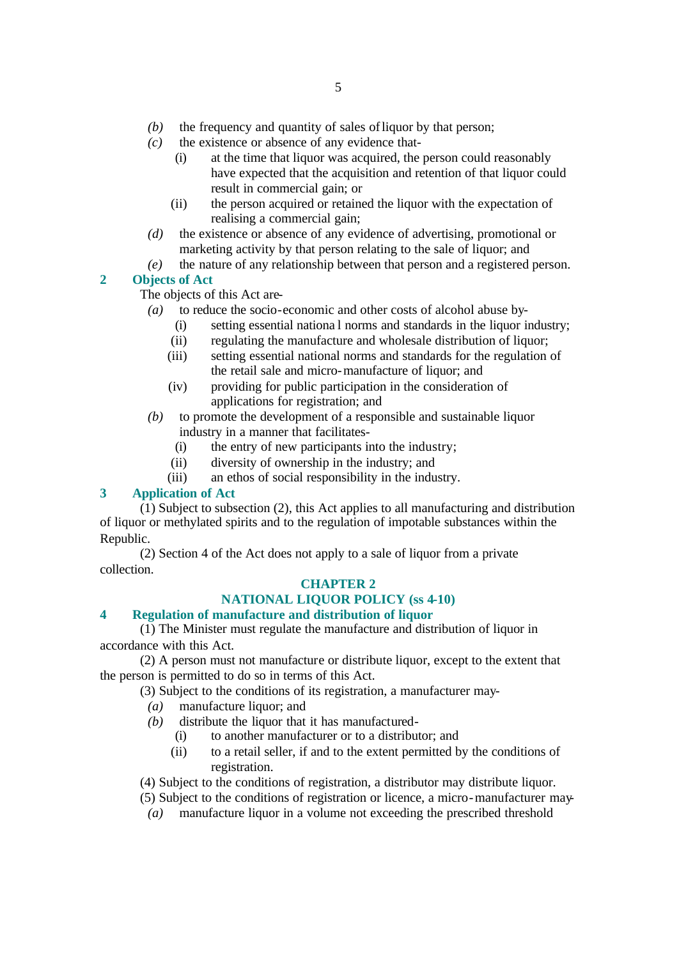- *(b)* the frequency and quantity of sales of liquor by that person;
- *(c)* the existence or absence of any evidence that-
	- (i) at the time that liquor was acquired, the person could reasonably have expected that the acquisition and retention of that liquor could result in commercial gain; or
	- (ii) the person acquired or retained the liquor with the expectation of realising a commercial gain;
- *(d)* the existence or absence of any evidence of advertising, promotional or marketing activity by that person relating to the sale of liquor; and
- *(e)* the nature of any relationship between that person and a registered person.

# **2 Objects of Act**

The objects of this Act are-

- *(a)* to reduce the socio-economic and other costs of alcohol abuse by-
	- (i) setting essential nationa l norms and standards in the liquor industry;
	- (ii) regulating the manufacture and wholesale distribution of liquor;
	- (iii) setting essential national norms and standards for the regulation of the retail sale and micro-manufacture of liquor; and
	- (iv) providing for public participation in the consideration of applications for registration; and
- *(b)* to promote the development of a responsible and sustainable liquor industry in a manner that facilitates-
	- (i) the entry of new participants into the industry;
	- (ii) diversity of ownership in the industry; and
	- (iii) an ethos of social responsibility in the industry.

# **3 Application of Act**

(1) Subject to subsection (2), this Act applies to all manufacturing and distribution of liquor or methylated spirits and to the regulation of impotable substances within the Republic.

(2) Section 4 of the Act does not apply to a sale of liquor from a private collection.

# **CHAPTER 2**

# **NATIONAL LIQUOR POLICY (ss 4-10)**

# **4 Regulation of manufacture and distribution of liquor**

(1) The Minister must regulate the manufacture and distribution of liquor in accordance with this Act.

(2) A person must not manufacture or distribute liquor, except to the extent that the person is permitted to do so in terms of this Act.

(3) Subject to the conditions of its registration, a manufacturer may-

- *(a)* manufacture liquor; and
- *(b)* distribute the liquor that it has manufactured-
	- (i) to another manufacturer or to a distributor; and
	- (ii) to a retail seller, if and to the extent permitted by the conditions of registration.

(4) Subject to the conditions of registration, a distributor may distribute liquor.

- (5) Subject to the conditions of registration or licence, a micro-manufacturer may-
- *(a)* manufacture liquor in a volume not exceeding the prescribed threshold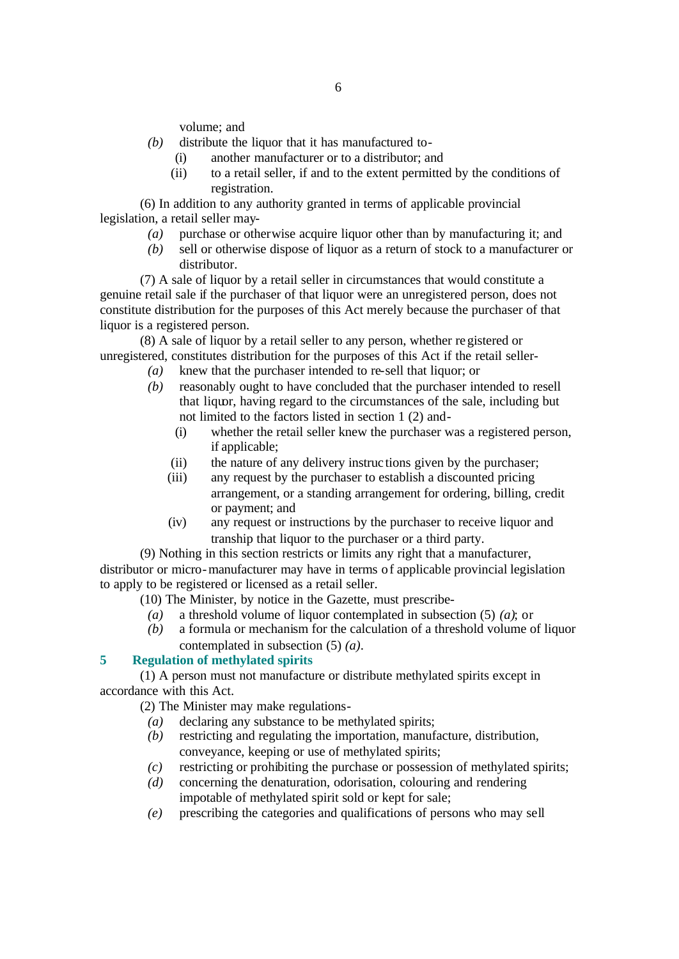volume; and

- *(b)* distribute the liquor that it has manufactured to-
	- (i) another manufacturer or to a distributor; and
	- (ii) to a retail seller, if and to the extent permitted by the conditions of registration.

(6) In addition to any authority granted in terms of applicable provincial legislation, a retail seller may-

- *(a)* purchase or otherwise acquire liquor other than by manufacturing it; and
- *(b)* sell or otherwise dispose of liquor as a return of stock to a manufacturer or distributor.

(7) A sale of liquor by a retail seller in circumstances that would constitute a genuine retail sale if the purchaser of that liquor were an unregistered person, does not constitute distribution for the purposes of this Act merely because the purchaser of that liquor is a registered person.

(8) A sale of liquor by a retail seller to any person, whether registered or unregistered, constitutes distribution for the purposes of this Act if the retail seller-

- *(a)* knew that the purchaser intended to re-sell that liquor; or
	- *(b)* reasonably ought to have concluded that the purchaser intended to resell that liquor, having regard to the circumstances of the sale, including but not limited to the factors listed in section 1 (2) and-
		- (i) whether the retail seller knew the purchaser was a registered person, if applicable;
		- (ii) the nature of any delivery instruc tions given by the purchaser;
		- (iii) any request by the purchaser to establish a discounted pricing arrangement, or a standing arrangement for ordering, billing, credit or payment; and
		- (iv) any request or instructions by the purchaser to receive liquor and tranship that liquor to the purchaser or a third party.

(9) Nothing in this section restricts or limits any right that a manufacturer, distributor or micro-manufacturer may have in terms of applicable provincial legislation to apply to be registered or licensed as a retail seller.

(10) The Minister, by notice in the Gazette, must prescribe-

- *(a)* a threshold volume of liquor contemplated in subsection (5) *(a)*; or
- *(b)* a formula or mechanism for the calculation of a threshold volume of liquor contemplated in subsection (5) *(a)*.

#### **5 Regulation of methylated spirits**

(1) A person must not manufacture or distribute methylated spirits except in accordance with this Act.

(2) The Minister may make regulations-

- *(a)* declaring any substance to be methylated spirits;
- *(b)* restricting and regulating the importation, manufacture, distribution, conveyance, keeping or use of methylated spirits;
- *(c)* restricting or prohibiting the purchase or possession of methylated spirits;
- *(d)* concerning the denaturation, odorisation, colouring and rendering impotable of methylated spirit sold or kept for sale;
- *(e)* prescribing the categories and qualifications of persons who may sell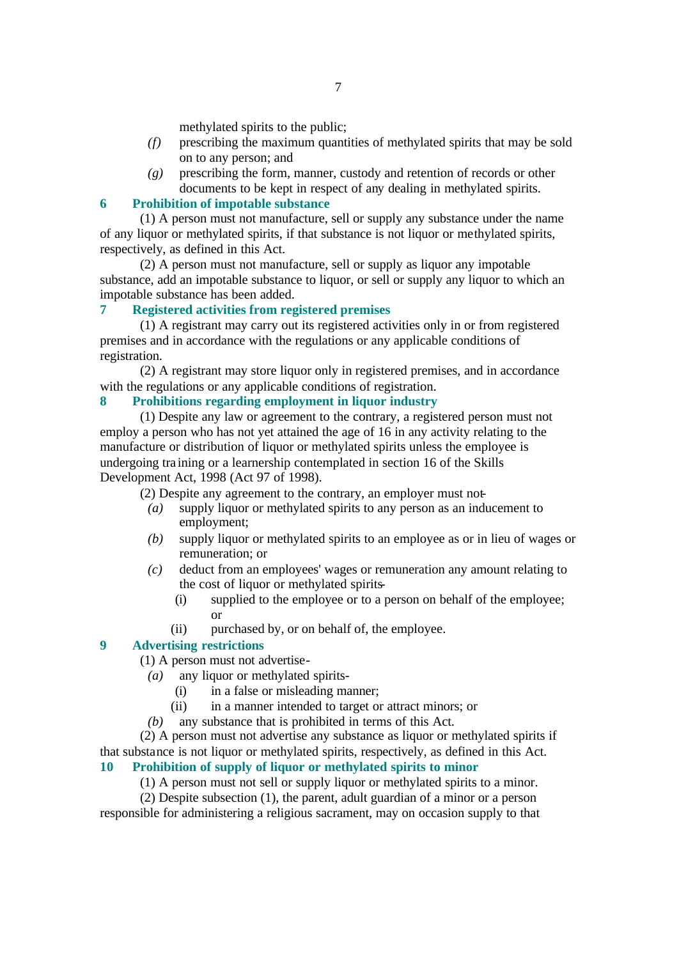methylated spirits to the public;

- *(f)* prescribing the maximum quantities of methylated spirits that may be sold on to any person; and
- *(g)* prescribing the form, manner, custody and retention of records or other documents to be kept in respect of any dealing in methylated spirits.

#### **6 Prohibition of impotable substance**

(1) A person must not manufacture, sell or supply any substance under the name of any liquor or methylated spirits, if that substance is not liquor or methylated spirits, respectively, as defined in this Act.

(2) A person must not manufacture, sell or supply as liquor any impotable substance, add an impotable substance to liquor, or sell or supply any liquor to which an impotable substance has been added.

#### **7 Registered activities from registered premises**

(1) A registrant may carry out its registered activities only in or from registered premises and in accordance with the regulations or any applicable conditions of registration.

(2) A registrant may store liquor only in registered premises, and in accordance with the regulations or any applicable conditions of registration.

# **8 Prohibitions regarding employment in liquor industry**

(1) Despite any law or agreement to the contrary, a registered person must not employ a person who has not yet attained the age of 16 in any activity relating to the manufacture or distribution of liquor or methylated spirits unless the employee is undergoing tra ining or a learnership contemplated in section 16 of the Skills Development Act, 1998 (Act 97 of 1998).

(2) Despite any agreement to the contrary, an employer must not-

- *(a)* supply liquor or methylated spirits to any person as an inducement to employment;
- *(b)* supply liquor or methylated spirits to an employee as or in lieu of wages or remuneration; or
- *(c)* deduct from an employees' wages or remuneration any amount relating to the cost of liquor or methylated spirits-
	- (i) supplied to the employee or to a person on behalf of the employee; or
	- (ii) purchased by, or on behalf of, the employee.

## **9 Advertising restrictions**

(1) A person must not advertise-

- *(a)* any liquor or methylated spirits-
	- (i) in a false or misleading manner;
	- (ii) in a manner intended to target or attract minors; or
- *(b)* any substance that is prohibited in terms of this Act.

(2) A person must not advertise any substance as liquor or methylated spirits if that substance is not liquor or methylated spirits, respectively, as defined in this Act.

# **10 Prohibition of supply of liquor or methylated spirits to minor**

(1) A person must not sell or supply liquor or methylated spirits to a minor.

(2) Despite subsection (1), the parent, adult guardian of a minor or a person responsible for administering a religious sacrament, may on occasion supply to that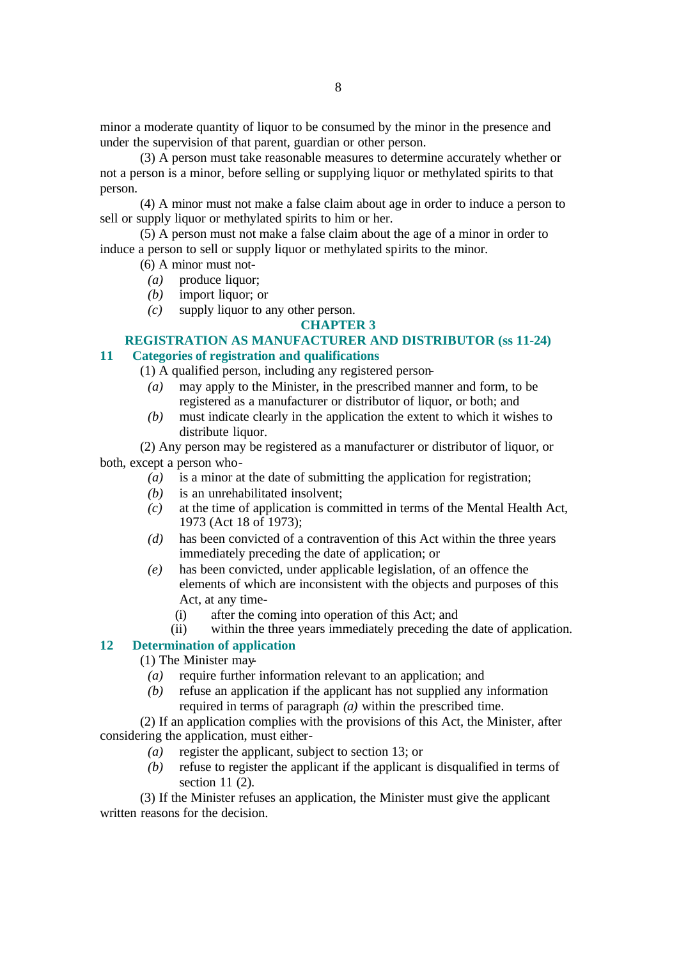minor a moderate quantity of liquor to be consumed by the minor in the presence and under the supervision of that parent, guardian or other person.

(3) A person must take reasonable measures to determine accurately whether or not a person is a minor, before selling or supplying liquor or methylated spirits to that person.

(4) A minor must not make a false claim about age in order to induce a person to sell or supply liquor or methylated spirits to him or her.

(5) A person must not make a false claim about the age of a minor in order to induce a person to sell or supply liquor or methylated spirits to the minor.

(6) A minor must not-

- *(a)* produce liquor;
- *(b)* import liquor; or
- *(c)* supply liquor to any other person.

# **CHAPTER 3**

# **REGISTRATION AS MANUFACTURER AND DISTRIBUTOR (ss 11-24) 11 Categories of registration and qualifications**

# (1) A qualified person, including any registered person-

- *(a)* may apply to the Minister, in the prescribed manner and form, to be registered as a manufacturer or distributor of liquor, or both; and
- *(b)* must indicate clearly in the application the extent to which it wishes to distribute liquor.

(2) Any person may be registered as a manufacturer or distributor of liquor, or both, except a person who-

- *(a)* is a minor at the date of submitting the application for registration;
- *(b)* is an unrehabilitated insolvent;
- *(c)* at the time of application is committed in terms of the Mental Health Act, 1973 (Act 18 of 1973);
- *(d)* has been convicted of a contravention of this Act within the three years immediately preceding the date of application; or
- *(e)* has been convicted, under applicable legislation, of an offence the elements of which are inconsistent with the objects and purposes of this Act, at any time-
	- (i) after the coming into operation of this Act; and
	- (ii) within the three years immediately preceding the date of application.

# **12 Determination of application**

(1) The Minister may-

- *(a)* require further information relevant to an application; and
- *(b)* refuse an application if the applicant has not supplied any information required in terms of paragraph *(a)* within the prescribed time.

(2) If an application complies with the provisions of this Act, the Minister, after considering the application, must either-

- *(a)* register the applicant, subject to section 13; or
- *(b)* refuse to register the applicant if the applicant is disqualified in terms of section 11 (2).

(3) If the Minister refuses an application, the Minister must give the applicant written reasons for the decision.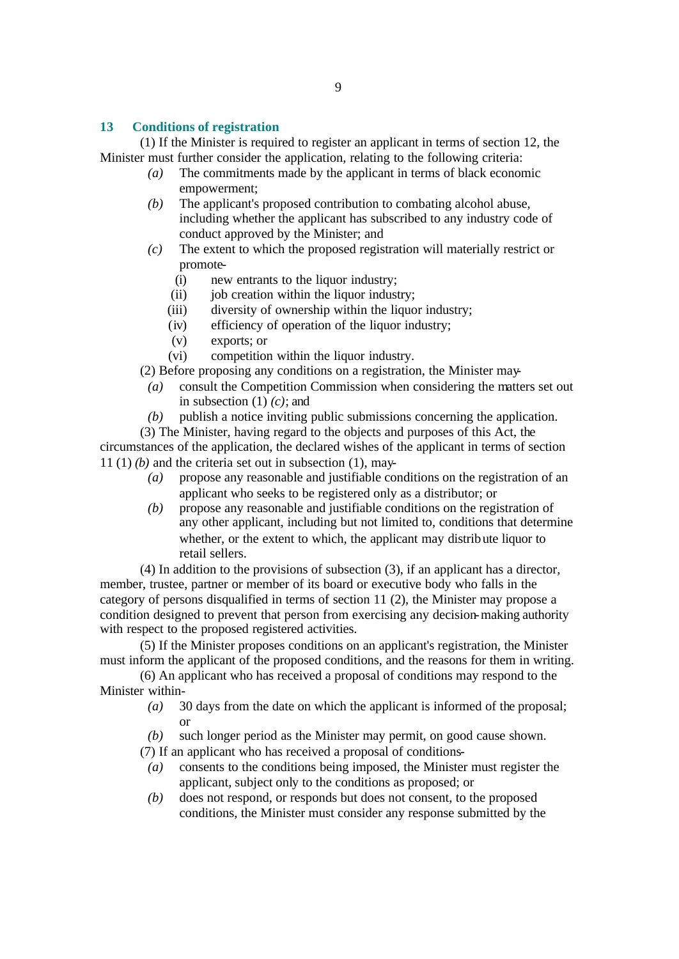# **13 Conditions of registration**

(1) If the Minister is required to register an applicant in terms of section 12, the Minister must further consider the application, relating to the following criteria:

- *(a)* The commitments made by the applicant in terms of black economic empowerment;
- *(b)* The applicant's proposed contribution to combating alcohol abuse, including whether the applicant has subscribed to any industry code of conduct approved by the Minister; and
- *(c)* The extent to which the proposed registration will materially restrict or promote-
	- (i) new entrants to the liquor industry;
	- (ii) job creation within the liquor industry;
	- (iii) diversity of ownership within the liquor industry;
	- (iv) efficiency of operation of the liquor industry;
	- (v) exports; or
	- (vi) competition within the liquor industry.
- (2) Before proposing any conditions on a registration, the Minister may-
- *(a)* consult the Competition Commission when considering the matters set out in subsection (1) *(c)*; and
- *(b)* publish a notice inviting public submissions concerning the application.

(3) The Minister, having regard to the objects and purposes of this Act, the circumstances of the application, the declared wishes of the applicant in terms of section 11 (1)  $(b)$  and the criteria set out in subsection (1), may-

- *(a)* propose any reasonable and justifiable conditions on the registration of an applicant who seeks to be registered only as a distributor; or
- *(b)* propose any reasonable and justifiable conditions on the registration of any other applicant, including but not limited to, conditions that determine whether, or the extent to which, the applicant may distribute liquor to retail sellers.

(4) In addition to the provisions of subsection (3), if an applicant has a director, member, trustee, partner or member of its board or executive body who falls in the category of persons disqualified in terms of section 11 (2), the Minister may propose a condition designed to prevent that person from exercising any decision-making authority with respect to the proposed registered activities.

(5) If the Minister proposes conditions on an applicant's registration, the Minister must inform the applicant of the proposed conditions, and the reasons for them in writing.

(6) An applicant who has received a proposal of conditions may respond to the Minister within-

- *(a)* 30 days from the date on which the applicant is informed of the proposal; or
- *(b)* such longer period as the Minister may permit, on good cause shown.
- (7) If an applicant who has received a proposal of conditions-
- *(a)* consents to the conditions being imposed, the Minister must register the applicant, subject only to the conditions as proposed; or
- *(b)* does not respond, or responds but does not consent, to the proposed conditions, the Minister must consider any response submitted by the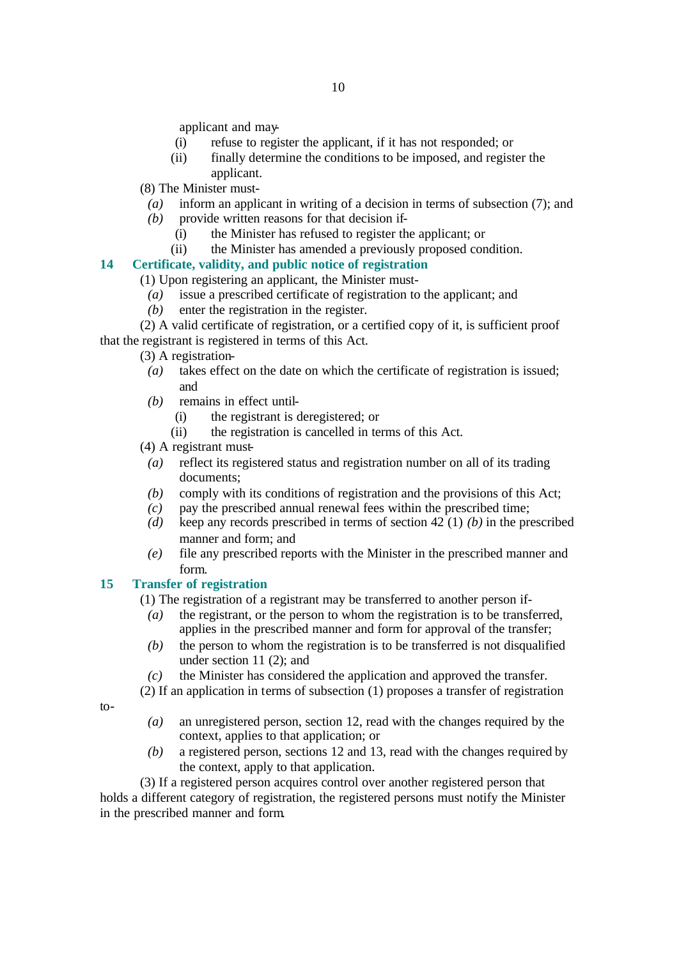applicant and may-

- (i) refuse to register the applicant, if it has not responded; or
- (ii) finally determine the conditions to be imposed, and register the applicant.
- (8) The Minister must-
- *(a)* inform an applicant in writing of a decision in terms of subsection (7); and
- *(b)* provide written reasons for that decision if-
	- (i) the Minister has refused to register the applicant; or
	- (ii) the Minister has amended a previously proposed condition.

# **14 Certificate, validity, and public notice of registration**

(1) Upon registering an applicant, the Minister must-

- *(a)* issue a prescribed certificate of registration to the applicant; and
- *(b)* enter the registration in the register.
- (2) A valid certificate of registration, or a certified copy of it, is sufficient proof that the registrant is registered in terms of this Act.
	- (3) A registration-
	- *(a)* takes effect on the date on which the certificate of registration is issued; and
	- *(b)* remains in effect until-
		- (i) the registrant is deregistered; or
		- (ii) the registration is cancelled in terms of this Act.
	- (4) A registrant must-
		- *(a)* reflect its registered status and registration number on all of its trading documents;
		- *(b)* comply with its conditions of registration and the provisions of this Act;
		- *(c)* pay the prescribed annual renewal fees within the prescribed time;
		- *(d)* keep any records prescribed in terms of section 42 (1) *(b)* in the prescribed manner and form; and
		- *(e)* file any prescribed reports with the Minister in the prescribed manner and form.

# **15 Transfer of registration**

(1) The registration of a registrant may be transferred to another person if-

- *(a)* the registrant, or the person to whom the registration is to be transferred, applies in the prescribed manner and form for approval of the transfer;
- *(b)* the person to whom the registration is to be transferred is not disqualified under section 11 (2); and
- *(c)* the Minister has considered the application and approved the transfer.
- (2) If an application in terms of subsection (1) proposes a transfer of registration

 $to-$ 

- *(a)* an unregistered person, section 12, read with the changes required by the context, applies to that application; or
- *(b)* a registered person, sections 12 and 13, read with the changes required by the context, apply to that application.

(3) If a registered person acquires control over another registered person that holds a different category of registration, the registered persons must notify the Minister in the prescribed manner and form.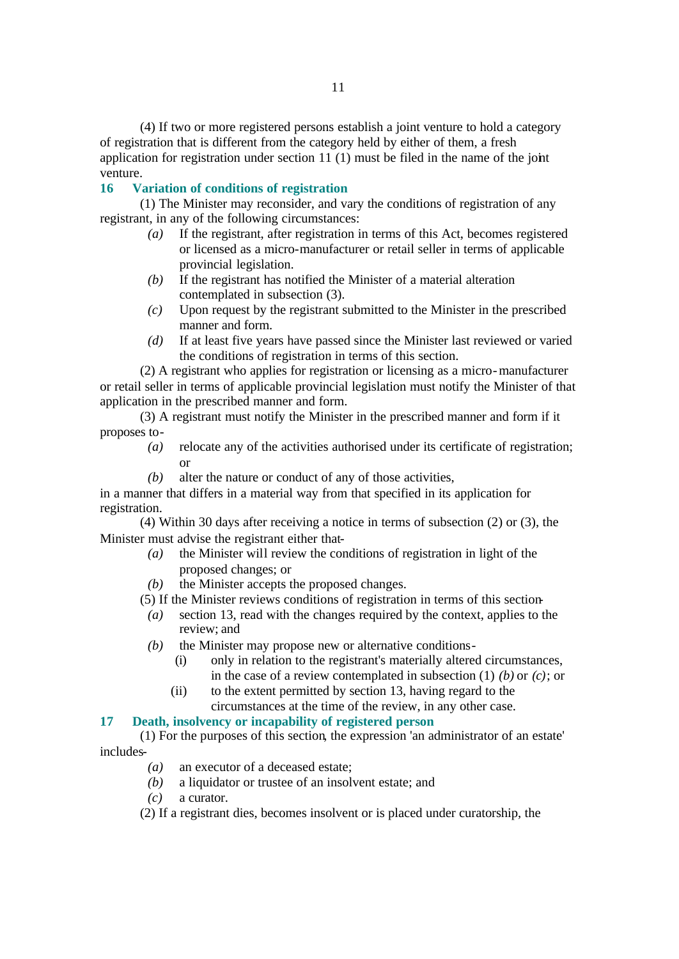(4) If two or more registered persons establish a joint venture to hold a category of registration that is different from the category held by either of them, a fresh application for registration under section  $11(1)$  must be filed in the name of the joint venture.

#### **16 Variation of conditions of registration**

(1) The Minister may reconsider, and vary the conditions of registration of any registrant, in any of the following circumstances:

- *(a)* If the registrant, after registration in terms of this Act, becomes registered or licensed as a micro-manufacturer or retail seller in terms of applicable provincial legislation.
- *(b)* If the registrant has notified the Minister of a material alteration contemplated in subsection (3).
- *(c)* Upon request by the registrant submitted to the Minister in the prescribed manner and form.
- *(d)* If at least five years have passed since the Minister last reviewed or varied the conditions of registration in terms of this section.

(2) A registrant who applies for registration or licensing as a micro-manufacturer or retail seller in terms of applicable provincial legislation must notify the Minister of that application in the prescribed manner and form.

(3) A registrant must notify the Minister in the prescribed manner and form if it proposes to-

- *(a)* relocate any of the activities authorised under its certificate of registration; or
- *(b)* alter the nature or conduct of any of those activities,

in a manner that differs in a material way from that specified in its application for registration.

(4) Within 30 days after receiving a notice in terms of subsection (2) or (3), the Minister must advise the registrant either that-

- *(a)* the Minister will review the conditions of registration in light of the proposed changes; or
- *(b)* the Minister accepts the proposed changes.
- (5) If the Minister reviews conditions of registration in terms of this section-
	- *(a)* section 13, read with the changes required by the context, applies to the review; and
	- *(b)* the Minister may propose new or alternative conditions-
		- (i) only in relation to the registrant's materially altered circumstances, in the case of a review contemplated in subsection (1) *(b)* or *(c)*; or
		- (ii) to the extent permitted by section 13, having regard to the circumstances at the time of the review, in any other case.

#### **17 Death, insolvency or incapability of registered person**

(1) For the purposes of this section, the expression 'an administrator of an estate' includes-

- *(a)* an executor of a deceased estate;
- *(b)* a liquidator or trustee of an insolvent estate; and
- *(c)* a curator.
- (2) If a registrant dies, becomes insolvent or is placed under curatorship, the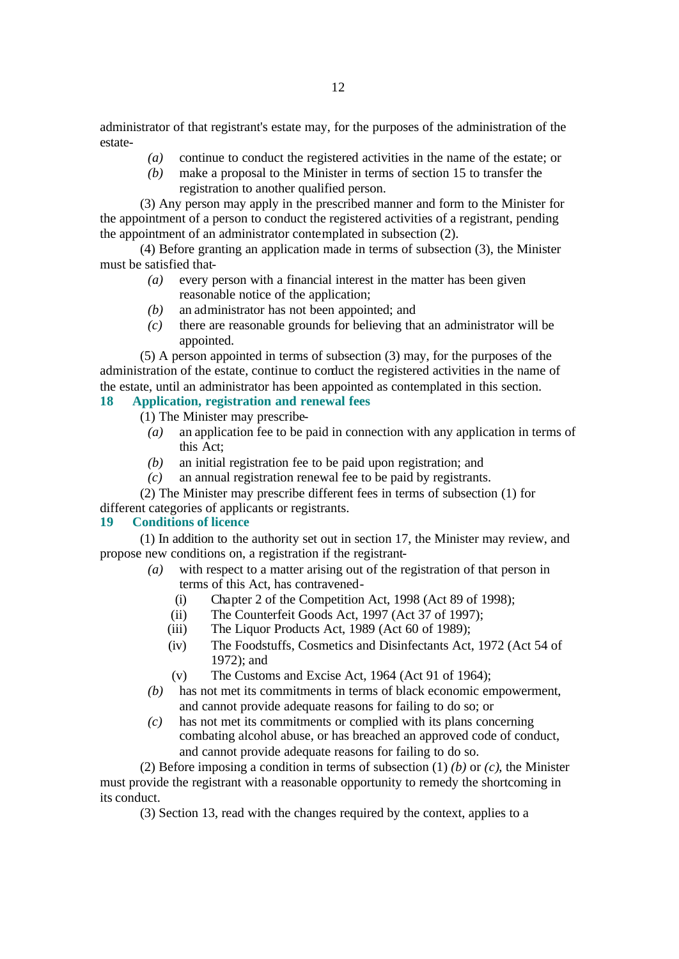administrator of that registrant's estate may, for the purposes of the administration of the estate-

- *(a)* continue to conduct the registered activities in the name of the estate; or
- *(b)* make a proposal to the Minister in terms of section 15 to transfer the registration to another qualified person.

(3) Any person may apply in the prescribed manner and form to the Minister for the appointment of a person to conduct the registered activities of a registrant, pending the appointment of an administrator contemplated in subsection (2).

(4) Before granting an application made in terms of subsection (3), the Minister must be satisfied that-

- *(a)* every person with a financial interest in the matter has been given reasonable notice of the application;
- *(b)* an administrator has not been appointed; and
- *(c)* there are reasonable grounds for believing that an administrator will be appointed.

(5) A person appointed in terms of subsection (3) may, for the purposes of the administration of the estate, continue to conduct the registered activities in the name of the estate, until an administrator has been appointed as contemplated in this section.

# **18 Application, registration and renewal fees**

(1) The Minister may prescribe-

- *(a)* an application fee to be paid in connection with any application in terms of this Act;
- *(b)* an initial registration fee to be paid upon registration; and
- *(c)* an annual registration renewal fee to be paid by registrants.
- (2) The Minister may prescribe different fees in terms of subsection (1) for different categories of applicants or registrants.

# **19 Conditions of licence**

(1) In addition to the authority set out in section 17, the Minister may review, and propose new conditions on, a registration if the registrant-

- *(a)* with respect to a matter arising out of the registration of that person in terms of this Act, has contravened-
	- (i) Chapter 2 of the Competition Act, 1998 (Act 89 of 1998);
	- (ii) The Counterfeit Goods Act, 1997 (Act 37 of 1997);
	- (iii) The Liquor Products Act, 1989 (Act 60 of 1989);
	- (iv) The Foodstuffs, Cosmetics and Disinfectants Act, 1972 (Act 54 of 1972); and
	- (v) The Customs and Excise Act, 1964 (Act 91 of 1964);
- *(b)* has not met its commitments in terms of black economic empowerment, and cannot provide adequate reasons for failing to do so; or
- *(c)* has not met its commitments or complied with its plans concerning combating alcohol abuse, or has breached an approved code of conduct, and cannot provide adequate reasons for failing to do so.

(2) Before imposing a condition in terms of subsection (1) *(b)* or *(c)*, the Minister must provide the registrant with a reasonable opportunity to remedy the shortcoming in its conduct.

(3) Section 13, read with the changes required by the context, applies to a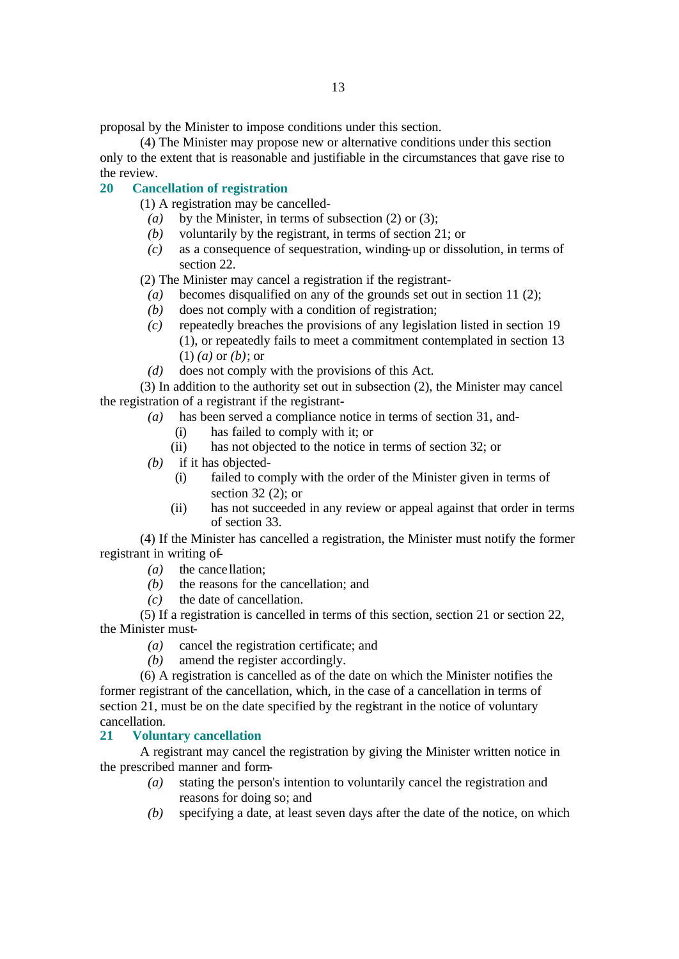proposal by the Minister to impose conditions under this section.

(4) The Minister may propose new or alternative conditions under this section only to the extent that is reasonable and justifiable in the circumstances that gave rise to the review.

#### **20 Cancellation of registration**

(1) A registration may be cancelled-

- *(a)* by the Minister, in terms of subsection (2) or (3);
- *(b)* voluntarily by the registrant, in terms of section 21; or
- *(c)* as a consequence of sequestration, winding-up or dissolution, in terms of section 22.

(2) The Minister may cancel a registration if the registrant-

- *(a)* becomes disqualified on any of the grounds set out in section 11 (2);
- *(b)* does not comply with a condition of registration;
- *(c)* repeatedly breaches the provisions of any legislation listed in section 19 (1), or repeatedly fails to meet a commitment contemplated in section 13 (1) *(a)* or *(b)*; or
- *(d)* does not comply with the provisions of this Act.

(3) In addition to the authority set out in subsection (2), the Minister may cancel the registration of a registrant if the registrant-

- *(a)* has been served a compliance notice in terms of section 31, and-
	- (i) has failed to comply with it; or
	- (ii) has not objected to the notice in terms of section 32; or
- *(b)* if it has objected-
	- (i) failed to comply with the order of the Minister given in terms of section 32 (2); or
	- (ii) has not succeeded in any review or appeal against that order in terms of section 33.

(4) If the Minister has cancelled a registration, the Minister must notify the former registrant in writing of-

- *(a)* the cance llation;
- *(b)* the reasons for the cancellation; and
- *(c)* the date of cancellation.

(5) If a registration is cancelled in terms of this section, section 21 or section 22, the Minister must-

- *(a)* cancel the registration certificate; and
- *(b)* amend the register accordingly.

(6) A registration is cancelled as of the date on which the Minister notifies the former registrant of the cancellation, which, in the case of a cancellation in terms of section 21, must be on the date specified by the registrant in the notice of voluntary cancellation.

#### **21 Voluntary cancellation**

A registrant may cancel the registration by giving the Minister written notice in the prescribed manner and form-

- *(a)* stating the person's intention to voluntarily cancel the registration and reasons for doing so; and
- *(b)* specifying a date, at least seven days after the date of the notice, on which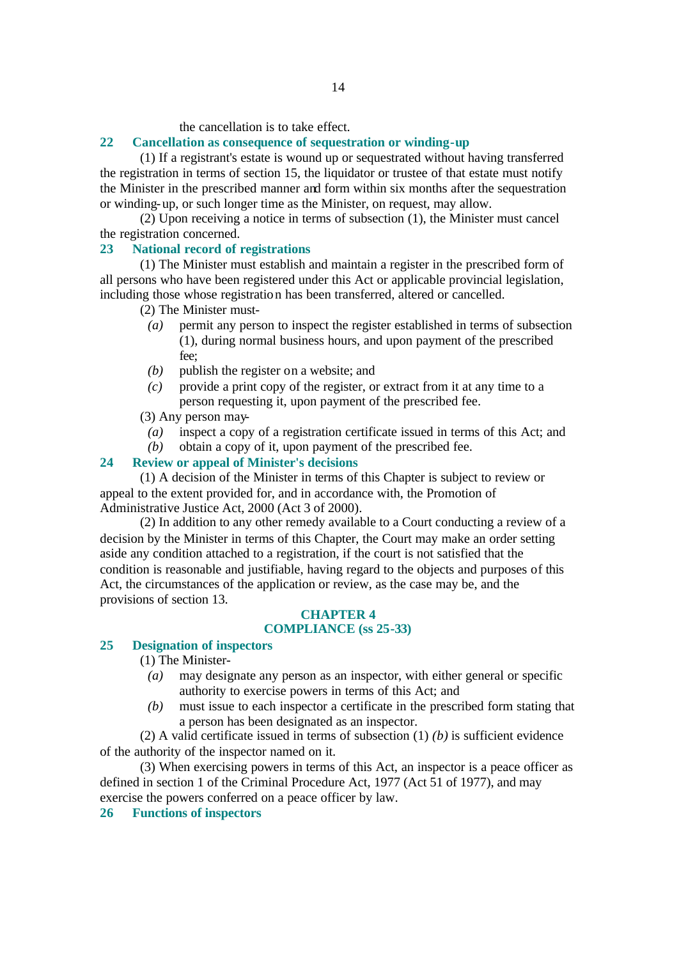#### the cancellation is to take effect.

# **22 Cancellation as consequence of sequestration or winding-up**

(1) If a registrant's estate is wound up or sequestrated without having transferred the registration in terms of section 15, the liquidator or trustee of that estate must notify the Minister in the prescribed manner and form within six months after the sequestration or winding-up, or such longer time as the Minister, on request, may allow.

(2) Upon receiving a notice in terms of subsection (1), the Minister must cancel the registration concerned.

#### **23 National record of registrations**

(1) The Minister must establish and maintain a register in the prescribed form of all persons who have been registered under this Act or applicable provincial legislation, including those whose registration has been transferred, altered or cancelled.

- (2) The Minister must-
	- *(a)* permit any person to inspect the register established in terms of subsection (1), during normal business hours, and upon payment of the prescribed fee;
	- *(b)* publish the register on a website; and
	- *(c)* provide a print copy of the register, or extract from it at any time to a person requesting it, upon payment of the prescribed fee.

# (3) Any person may-

- *(a)* inspect a copy of a registration certificate issued in terms of this Act; and
- *(b)* obtain a copy of it, upon payment of the prescribed fee.

# **24 Review or appeal of Minister's decisions**

(1) A decision of the Minister in terms of this Chapter is subject to review or appeal to the extent provided for, and in accordance with, the Promotion of Administrative Justice Act, 2000 (Act 3 of 2000).

(2) In addition to any other remedy available to a Court conducting a review of a decision by the Minister in terms of this Chapter, the Court may make an order setting aside any condition attached to a registration, if the court is not satisfied that the condition is reasonable and justifiable, having regard to the objects and purposes of this Act, the circumstances of the application or review, as the case may be, and the provisions of section 13.

# **CHAPTER 4**

# **COMPLIANCE (ss 25-33)**

# **25 Designation of inspectors**

(1) The Minister-

- *(a)* may designate any person as an inspector, with either general or specific authority to exercise powers in terms of this Act; and
- *(b)* must issue to each inspector a certificate in the prescribed form stating that a person has been designated as an inspector.

(2) A valid certificate issued in terms of subsection (1) *(b)* is sufficient evidence of the authority of the inspector named on it.

(3) When exercising powers in terms of this Act, an inspector is a peace officer as defined in section 1 of the Criminal Procedure Act, 1977 (Act 51 of 1977), and may exercise the powers conferred on a peace officer by law.

#### **26 Functions of inspectors**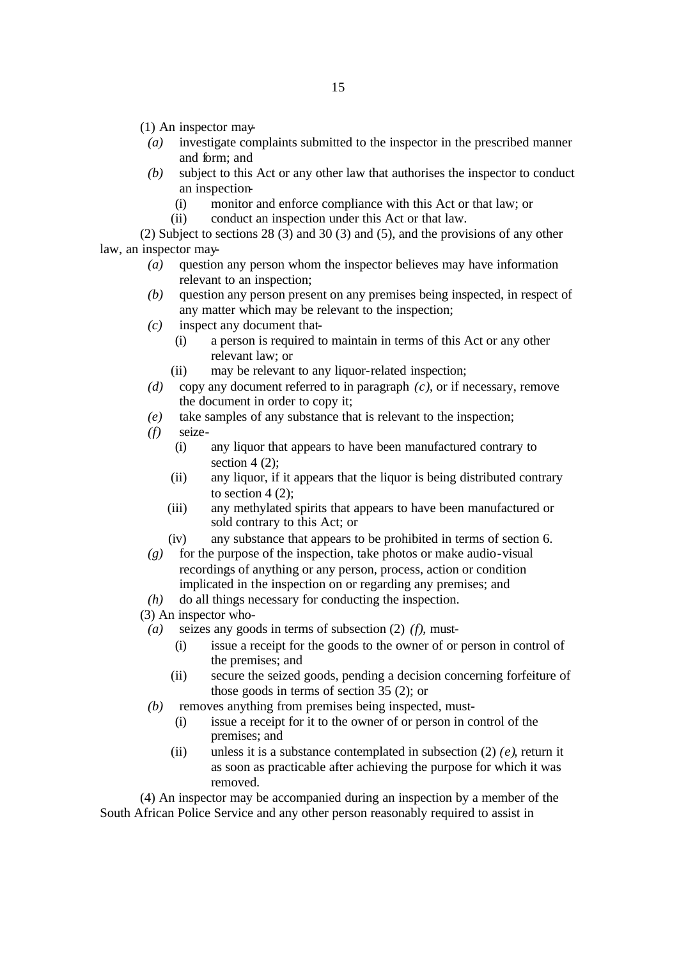- (1) An inspector may-
- *(a)* investigate complaints submitted to the inspector in the prescribed manner and form; and
- *(b)* subject to this Act or any other law that authorises the inspector to conduct an inspection-
	- (i) monitor and enforce compliance with this Act or that law; or
	- (ii) conduct an inspection under this Act or that law.

(2) Subject to sections 28 (3) and 30 (3) and (5), and the provisions of any other law, an inspector may-

- *(a)* question any person whom the inspector believes may have information relevant to an inspection;
- *(b)* question any person present on any premises being inspected, in respect of any matter which may be relevant to the inspection;
- *(c)* inspect any document that-
	- (i) a person is required to maintain in terms of this Act or any other relevant law; or
	- (ii) may be relevant to any liquor-related inspection;
- *(d)* copy any document referred to in paragraph *(c)*, or if necessary, remove the document in order to copy it;
- *(e)* take samples of any substance that is relevant to the inspection;
- *(f)* seize-
	- (i) any liquor that appears to have been manufactured contrary to section 4  $(2)$ ;
	- (ii) any liquor, if it appears that the liquor is being distributed contrary to section  $4(2)$ :
	- (iii) any methylated spirits that appears to have been manufactured or sold contrary to this Act; or
	- (iv) any substance that appears to be prohibited in terms of section 6.
- *(g)* for the purpose of the inspection, take photos or make audio-visual recordings of anything or any person, process, action or condition implicated in the inspection on or regarding any premises; and
- *(h)* do all things necessary for conducting the inspection.
- (3) An inspector who-
- *(a)* seizes any goods in terms of subsection (2) *(f)*, must-
	- (i) issue a receipt for the goods to the owner of or person in control of the premises; and
	- (ii) secure the seized goods, pending a decision concerning forfeiture of those goods in terms of section 35 (2); or
- *(b)* removes anything from premises being inspected, must-
	- (i) issue a receipt for it to the owner of or person in control of the premises; and
	- (ii) unless it is a substance contemplated in subsection (2) *(e)*, return it as soon as practicable after achieving the purpose for which it was removed.

(4) An inspector may be accompanied during an inspection by a member of the South African Police Service and any other person reasonably required to assist in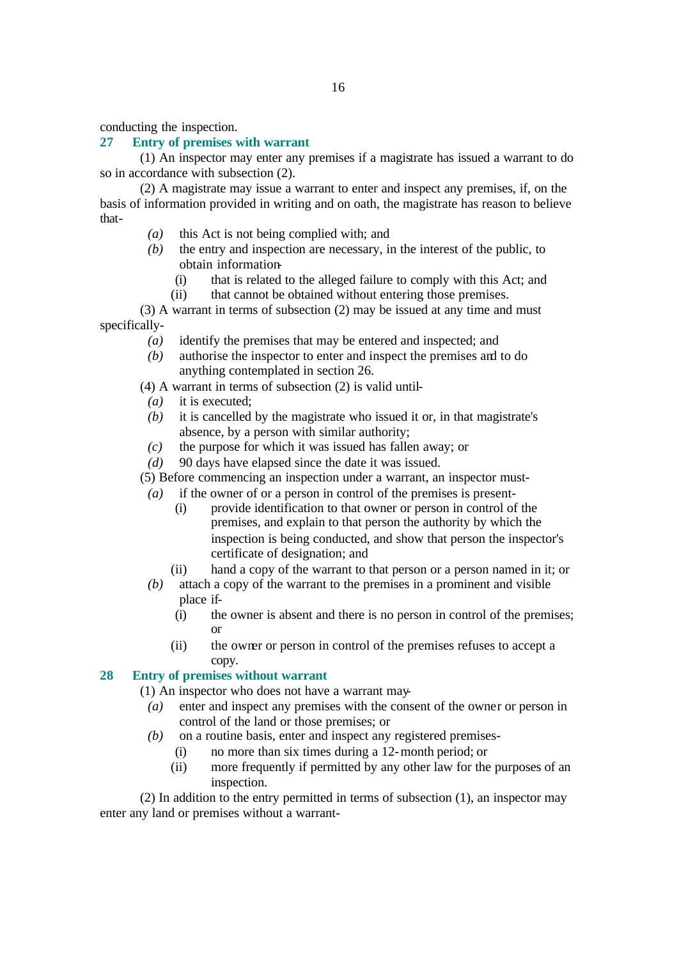conducting the inspection.

#### **27 Entry of premises with warrant**

(1) An inspector may enter any premises if a magistrate has issued a warrant to do so in accordance with subsection (2).

(2) A magistrate may issue a warrant to enter and inspect any premises, if, on the basis of information provided in writing and on oath, the magistrate has reason to believe that-

- *(a)* this Act is not being complied with; and
- *(b)* the entry and inspection are necessary, in the interest of the public, to obtain information-
	- (i) that is related to the alleged failure to comply with this Act; and
	- (ii) that cannot be obtained without entering those premises.

(3) A warrant in terms of subsection (2) may be issued at any time and must specifically-

- *(a)* identify the premises that may be entered and inspected; and
- *(b)* authorise the inspector to enter and inspect the premises and to do anything contemplated in section 26.

(4) A warrant in terms of subsection (2) is valid until-

- *(a)* it is executed;
- *(b)* it is cancelled by the magistrate who issued it or, in that magistrate's absence, by a person with similar authority;
- *(c)* the purpose for which it was issued has fallen away; or
- *(d)* 90 days have elapsed since the date it was issued.

(5) Before commencing an inspection under a warrant, an inspector must-

- *(a)* if the owner of or a person in control of the premises is present-
	- (i) provide identification to that owner or person in control of the premises, and explain to that person the authority by which the inspection is being conducted, and show that person the inspector's certificate of designation; and
	- (ii) hand a copy of the warrant to that person or a person named in it; or
- *(b)* attach a copy of the warrant to the premises in a prominent and visible place if-
	- (i) the owner is absent and there is no person in control of the premises; or
	- (ii) the owner or person in control of the premises refuses to accept a copy.

# **28 Entry of premises without warrant**

- (1) An inspector who does not have a warrant may-
	- *(a)* enter and inspect any premises with the consent of the owner or person in control of the land or those premises; or
	- *(b)* on a routine basis, enter and inspect any registered premises-
		- (i) no more than six times during a 12-month period; or
		- (ii) more frequently if permitted by any other law for the purposes of an inspection.

(2) In addition to the entry permitted in terms of subsection (1), an inspector may enter any land or premises without a warrant-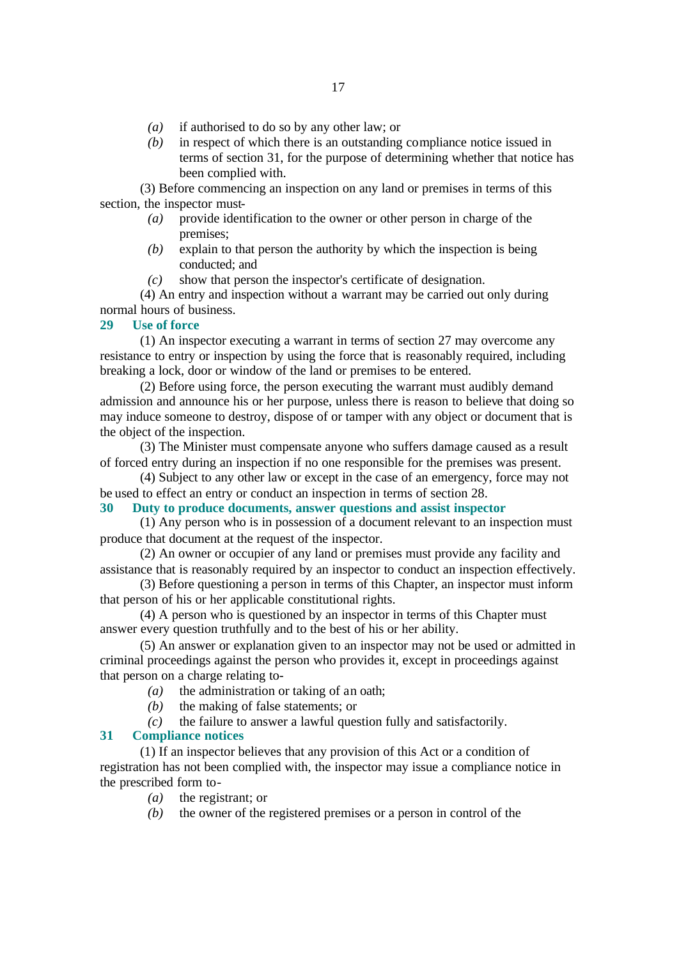- *(a)* if authorised to do so by any other law; or
- *(b)* in respect of which there is an outstanding compliance notice issued in terms of section 31, for the purpose of determining whether that notice has been complied with.

(3) Before commencing an inspection on any land or premises in terms of this section, the inspector must-

- *(a)* provide identification to the owner or other person in charge of the premises;
- *(b)* explain to that person the authority by which the inspection is being conducted; and
- *(c)* show that person the inspector's certificate of designation.

(4) An entry and inspection without a warrant may be carried out only during normal hours of business.

#### **29 Use of force**

(1) An inspector executing a warrant in terms of section 27 may overcome any resistance to entry or inspection by using the force that is reasonably required, including breaking a lock, door or window of the land or premises to be entered.

(2) Before using force, the person executing the warrant must audibly demand admission and announce his or her purpose, unless there is reason to believe that doing so may induce someone to destroy, dispose of or tamper with any object or document that is the object of the inspection.

(3) The Minister must compensate anyone who suffers damage caused as a result of forced entry during an inspection if no one responsible for the premises was present.

(4) Subject to any other law or except in the case of an emergency, force may not be used to effect an entry or conduct an inspection in terms of section 28.

#### **30 Duty to produce documents, answer questions and assist inspector**

(1) Any person who is in possession of a document relevant to an inspection must produce that document at the request of the inspector.

(2) An owner or occupier of any land or premises must provide any facility and assistance that is reasonably required by an inspector to conduct an inspection effectively.

(3) Before questioning a person in terms of this Chapter, an inspector must inform that person of his or her applicable constitutional rights.

(4) A person who is questioned by an inspector in terms of this Chapter must answer every question truthfully and to the best of his or her ability.

(5) An answer or explanation given to an inspector may not be used or admitted in criminal proceedings against the person who provides it, except in proceedings against that person on a charge relating to-

- *(a)* the administration or taking of an oath;
- *(b)* the making of false statements; or

*(c)* the failure to answer a lawful question fully and satisfactorily.

#### **31 Compliance notices**

(1) If an inspector believes that any provision of this Act or a condition of registration has not been complied with, the inspector may issue a compliance notice in the prescribed form to-

- *(a)* the registrant; or
- *(b)* the owner of the registered premises or a person in control of the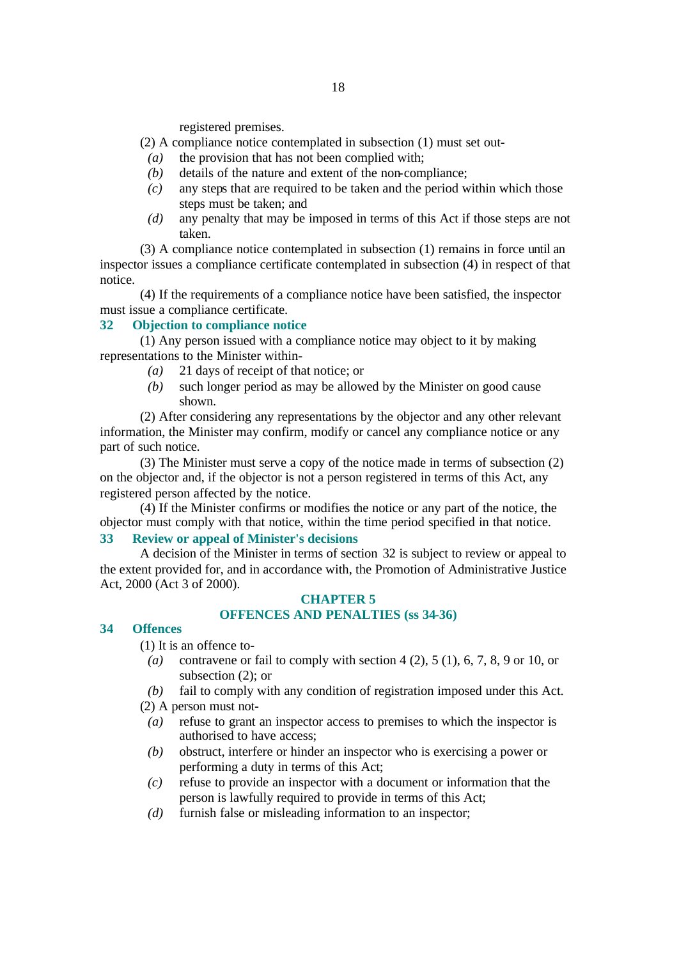registered premises.

# (2) A compliance notice contemplated in subsection (1) must set out-

- *(a)* the provision that has not been complied with;
- *(b)* details of the nature and extent of the non-compliance;
- *(c)* any steps that are required to be taken and the period within which those steps must be taken; and
- *(d)* any penalty that may be imposed in terms of this Act if those steps are not taken.

(3) A compliance notice contemplated in subsection (1) remains in force until an inspector issues a compliance certificate contemplated in subsection (4) in respect of that notice.

(4) If the requirements of a compliance notice have been satisfied, the inspector must issue a compliance certificate.

#### **32 Objection to compliance notice**

(1) Any person issued with a compliance notice may object to it by making representations to the Minister within-

- *(a)* 21 days of receipt of that notice; or
- *(b)* such longer period as may be allowed by the Minister on good cause shown.

(2) After considering any representations by the objector and any other relevant information, the Minister may confirm, modify or cancel any compliance notice or any part of such notice.

(3) The Minister must serve a copy of the notice made in terms of subsection (2) on the objector and, if the objector is not a person registered in terms of this Act, any registered person affected by the notice.

(4) If the Minister confirms or modifies the notice or any part of the notice, the objector must comply with that notice, within the time period specified in that notice.

# **33 Review or appeal of Minister's decisions**

A decision of the Minister in terms of section 32 is subject to review or appeal to the extent provided for, and in accordance with, the Promotion of Administrative Justice Act, 2000 (Act 3 of 2000).

#### **CHAPTER 5**

#### **OFFENCES AND PENALTIES (ss 34-36)**

# **34 Offences**

(1) It is an offence to-

- *(a)* contravene or fail to comply with section 4 (2), 5 (1), 6, 7, 8, 9 or 10, or subsection (2); or
- *(b)* fail to comply with any condition of registration imposed under this Act.

#### (2) A person must not-

- *(a)* refuse to grant an inspector access to premises to which the inspector is authorised to have access;
- *(b)* obstruct, interfere or hinder an inspector who is exercising a power or performing a duty in terms of this Act;
- *(c)* refuse to provide an inspector with a document or information that the person is lawfully required to provide in terms of this Act;
- *(d)* furnish false or misleading information to an inspector;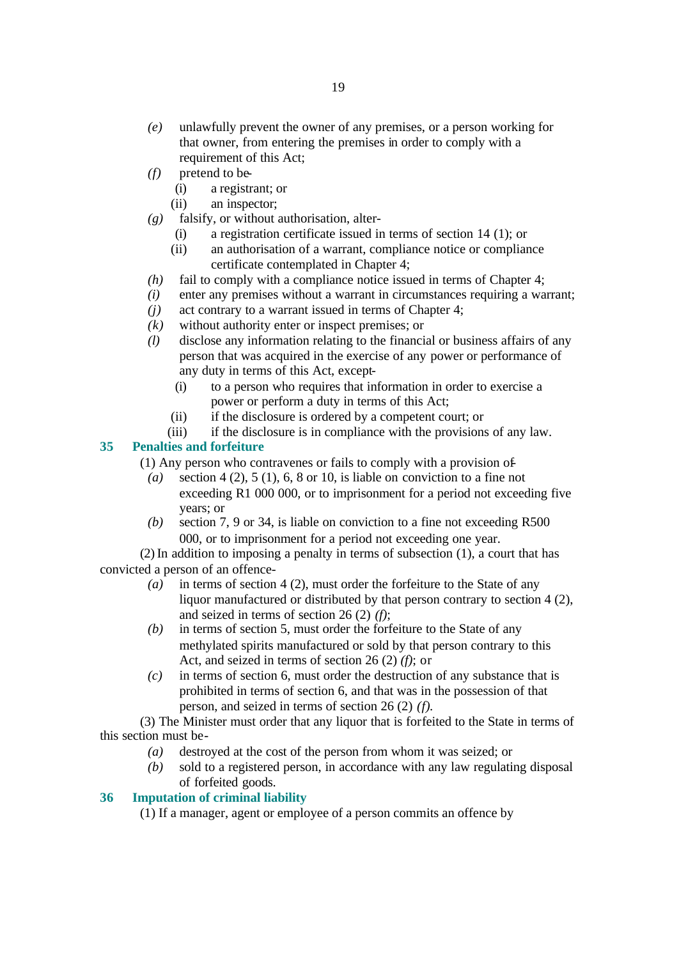- *(e)* unlawfully prevent the owner of any premises, or a person working for that owner, from entering the premises in order to comply with a requirement of this Act;
- *(f)* pretend to be-
	- (i) a registrant; or
	- (ii) an inspector;
- *(g)* falsify, or without authorisation, alter-
	- (i) a registration certificate issued in terms of section 14 (1); or
	- (ii) an authorisation of a warrant, compliance notice or compliance certificate contemplated in Chapter 4;
- *(h)* fail to comply with a compliance notice issued in terms of Chapter 4;
- *(i)* enter any premises without a warrant in circumstances requiring a warrant;
- *(j)* act contrary to a warrant issued in terms of Chapter 4;
- *(k)* without authority enter or inspect premises; or
- *(l)* disclose any information relating to the financial or business affairs of any person that was acquired in the exercise of any power or performance of any duty in terms of this Act, except-
	- (i) to a person who requires that information in order to exercise a power or perform a duty in terms of this Act;
	- (ii) if the disclosure is ordered by a competent court; or
	- (iii) if the disclosure is in compliance with the provisions of any law.

# **35 Penalties and forfeiture**

(1) Any person who contravenes or fails to comply with a provision of-

- *(a)* section 4 (2), 5 (1), 6, 8 or 10, is liable on conviction to a fine not exceeding R1 000 000, or to imprisonment for a period not exceeding five years; or
- *(b)* section 7, 9 or 34, is liable on conviction to a fine not exceeding R500 000, or to imprisonment for a period not exceeding one year.

(2) In addition to imposing a penalty in terms of subsection (1), a court that has convicted a person of an offence-

- *(a)* in terms of section 4 (2), must order the forfeiture to the State of any liquor manufactured or distributed by that person contrary to section 4 (2), and seized in terms of section 26 (2) *(f)*;
- *(b)* in terms of section 5, must order the forfeiture to the State of any methylated spirits manufactured or sold by that person contrary to this Act, and seized in terms of section 26 (2) *(f)*; or
- *(c)* in terms of section 6, must order the destruction of any substance that is prohibited in terms of section 6, and that was in the possession of that person, and seized in terms of section 26 (2) *(f)*.

(3) The Minister must order that any liquor that is forfeited to the State in terms of this section must be-

- *(a)* destroyed at the cost of the person from whom it was seized; or
- *(b)* sold to a registered person, in accordance with any law regulating disposal of forfeited goods.

# **36 Imputation of criminal liability**

(1) If a manager, agent or employee of a person commits an offence by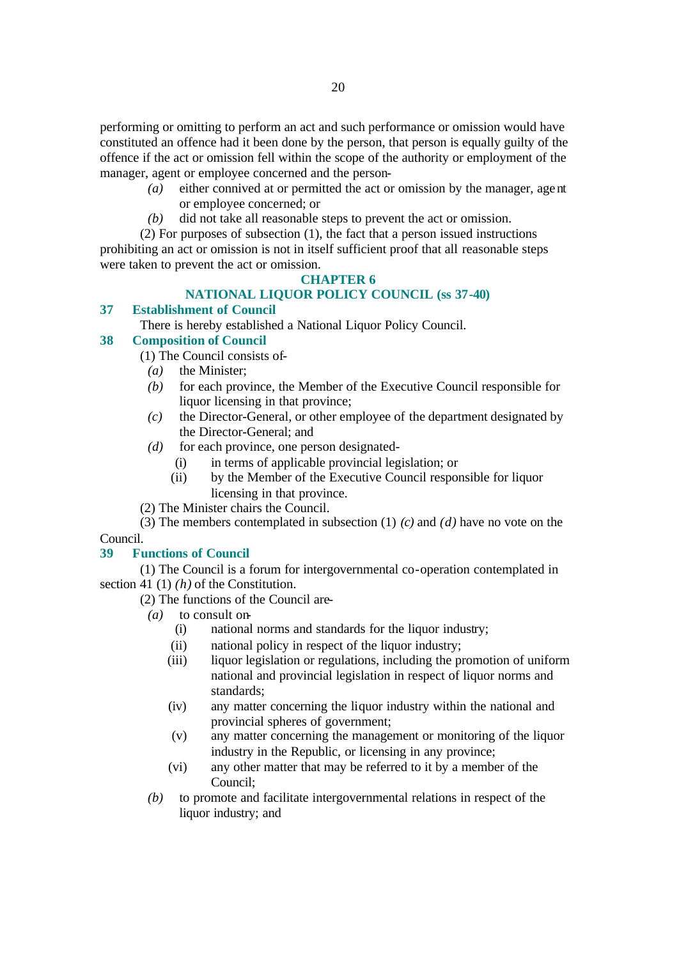performing or omitting to perform an act and such performance or omission would have constituted an offence had it been done by the person, that person is equally guilty of the offence if the act or omission fell within the scope of the authority or employment of the manager, agent or employee concerned and the person-

- *(a)* either connived at or permitted the act or omission by the manager, agent or employee concerned; or
- *(b)* did not take all reasonable steps to prevent the act or omission.
- (2) For purposes of subsection (1), the fact that a person issued instructions

prohibiting an act or omission is not in itself sufficient proof that all reasonable steps were taken to prevent the act or omission.

# **CHAPTER 6**

# **NATIONAL LIQUOR POLICY COUNCIL (ss 37-40)**

#### **37 Establishment of Council**

There is hereby established a National Liquor Policy Council.

#### **38 Composition of Council**

(1) The Council consists of-

- *(a)* the Minister;
- *(b)* for each province, the Member of the Executive Council responsible for liquor licensing in that province;
- *(c)* the Director-General, or other employee of the department designated by the Director-General; and
- *(d)* for each province, one person designated-
	- (i) in terms of applicable provincial legislation; or
	- (ii) by the Member of the Executive Council responsible for liquor licensing in that province.
- (2) The Minister chairs the Council.

(3) The members contemplated in subsection (1) *(c)* and *(d)* have no vote on the Council.

# **39 Functions of Council**

(1) The Council is a forum for intergovernmental co-operation contemplated in section 41 (1) *(h)* of the Constitution.

(2) The functions of the Council are-

- *(a)* to consult on-
	- (i) national norms and standards for the liquor industry;
	- (ii) national policy in respect of the liquor industry;
	- (iii) liquor legislation or regulations, including the promotion of uniform national and provincial legislation in respect of liquor norms and standards;
	- (iv) any matter concerning the liquor industry within the national and provincial spheres of government;
	- (v) any matter concerning the management or monitoring of the liquor industry in the Republic, or licensing in any province;
	- (vi) any other matter that may be referred to it by a member of the Council;
- *(b)* to promote and facilitate intergovernmental relations in respect of the liquor industry; and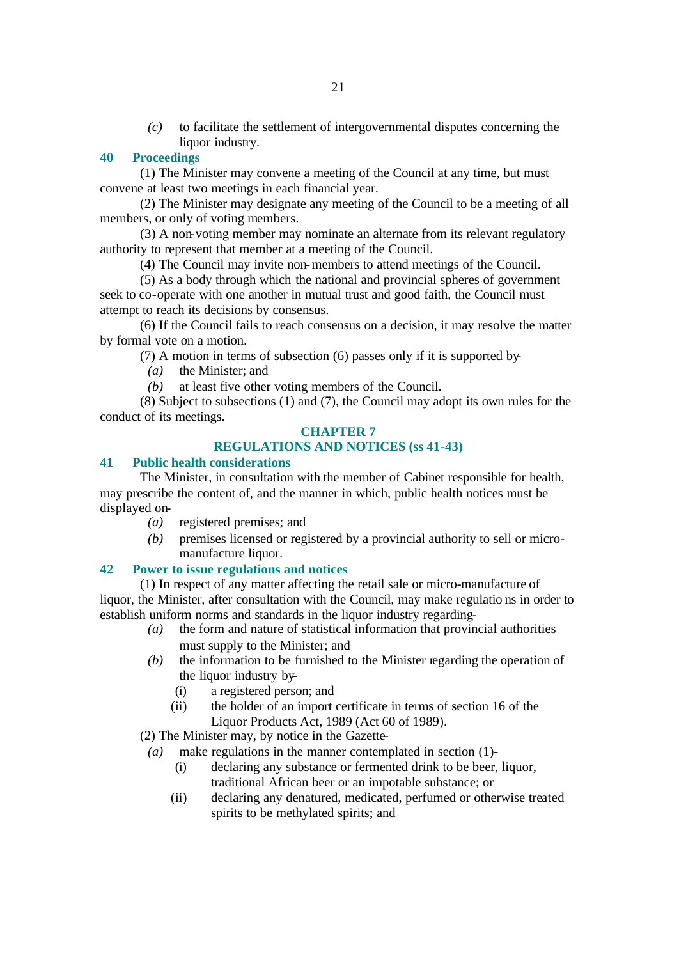*(c)* to facilitate the settlement of intergovernmental disputes concerning the liquor industry.

# **40 Proceedings**

(1) The Minister may convene a meeting of the Council at any time, but must convene at least two meetings in each financial year.

(2) The Minister may designate any meeting of the Council to be a meeting of all members, or only of voting members.

(3) A non-voting member may nominate an alternate from its relevant regulatory authority to represent that member at a meeting of the Council.

(4) The Council may invite non-members to attend meetings of the Council.

(5) As a body through which the national and provincial spheres of government seek to co-operate with one another in mutual trust and good faith, the Council must attempt to reach its decisions by consensus.

(6) If the Council fails to reach consensus on a decision, it may resolve the matter by formal vote on a motion.

(7) A motion in terms of subsection (6) passes only if it is supported by-

*(a)* the Minister; and

*(b)* at least five other voting members of the Council.

(8) Subject to subsections (1) and (7), the Council may adopt its own rules for the conduct of its meetings.

#### **CHAPTER 7**

# **REGULATIONS AND NOTICES (ss 41-43)**

#### **41 Public health considerations**

The Minister, in consultation with the member of Cabinet responsible for health, may prescribe the content of, and the manner in which, public health notices must be displayed on-

- *(a)* registered premises; and
- *(b)* premises licensed or registered by a provincial authority to sell or micromanufacture liquor.

#### **42 Power to issue regulations and notices**

(1) In respect of any matter affecting the retail sale or micro-manufacture of liquor, the Minister, after consultation with the Council, may make regulatio ns in order to establish uniform norms and standards in the liquor industry regarding-

- *(a)* the form and nature of statistical information that provincial authorities must supply to the Minister; and
- *(b)* the information to be furnished to the Minister regarding the operation of the liquor industry by-
	- (i) a registered person; and
	- (ii) the holder of an import certificate in terms of section 16 of the Liquor Products Act, 1989 (Act 60 of 1989).

(2) The Minister may, by notice in the Gazette-

- *(a)* make regulations in the manner contemplated in section (1)-
	- (i) declaring any substance or fermented drink to be beer, liquor, traditional African beer or an impotable substance; or
	- (ii) declaring any denatured, medicated, perfumed or otherwise treated spirits to be methylated spirits; and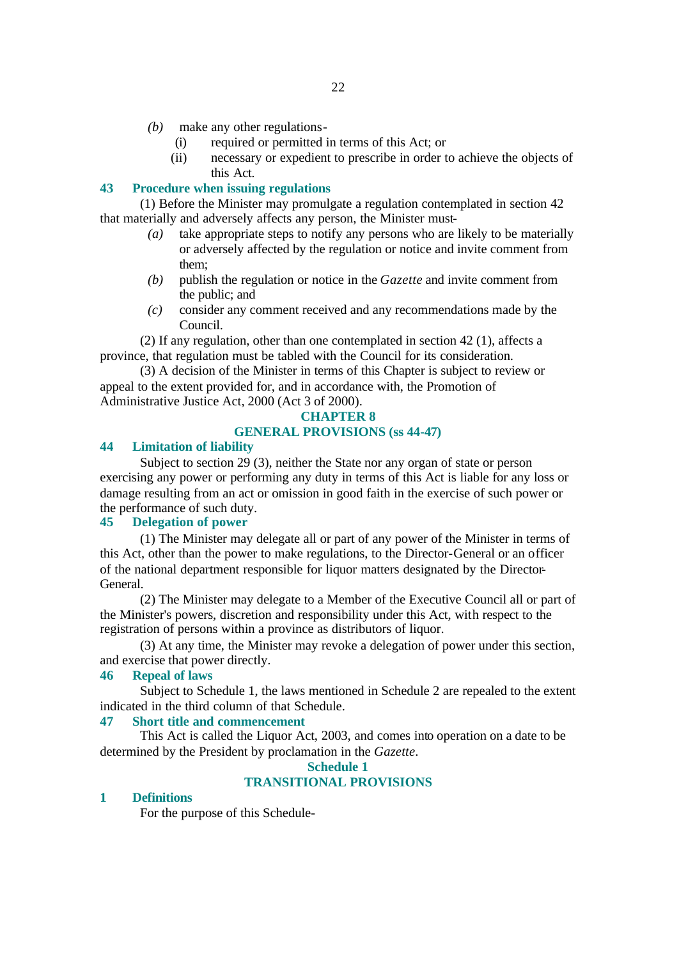- *(b)* make any other regulations-
	- (i) required or permitted in terms of this Act; or
	- (ii) necessary or expedient to prescribe in order to achieve the objects of this Act.

#### **43 Procedure when issuing regulations**

(1) Before the Minister may promulgate a regulation contemplated in section 42 that materially and adversely affects any person, the Minister must-

- *(a)* take appropriate steps to notify any persons who are likely to be materially or adversely affected by the regulation or notice and invite comment from them;
- *(b)* publish the regulation or notice in the *Gazette* and invite comment from the public; and
- *(c)* consider any comment received and any recommendations made by the Council.

(2) If any regulation, other than one contemplated in section 42 (1), affects a province, that regulation must be tabled with the Council for its consideration.

(3) A decision of the Minister in terms of this Chapter is subject to review or appeal to the extent provided for, and in accordance with, the Promotion of Administrative Justice Act, 2000 (Act 3 of 2000).

#### **CHAPTER 8**

#### **GENERAL PROVISIONS (ss 44-47)**

# **44 Limitation of liability**

Subject to section 29 (3), neither the State nor any organ of state or person exercising any power or performing any duty in terms of this Act is liable for any loss or damage resulting from an act or omission in good faith in the exercise of such power or the performance of such duty.

#### **45 Delegation of power**

(1) The Minister may delegate all or part of any power of the Minister in terms of this Act, other than the power to make regulations, to the Director-General or an officer of the national department responsible for liquor matters designated by the Director-General.

(2) The Minister may delegate to a Member of the Executive Council all or part of the Minister's powers, discretion and responsibility under this Act, with respect to the registration of persons within a province as distributors of liquor.

(3) At any time, the Minister may revoke a delegation of power under this section, and exercise that power directly.

# **46 Repeal of laws**

Subject to Schedule 1, the laws mentioned in Schedule 2 are repealed to the extent indicated in the third column of that Schedule.

#### **47 Short title and commencement**

This Act is called the Liquor Act, 2003, and comes into operation on a date to be determined by the President by proclamation in the *Gazette*.

#### **Schedule 1**

# **TRANSITIONAL PROVISIONS**

#### **1 Definitions**

For the purpose of this Schedule-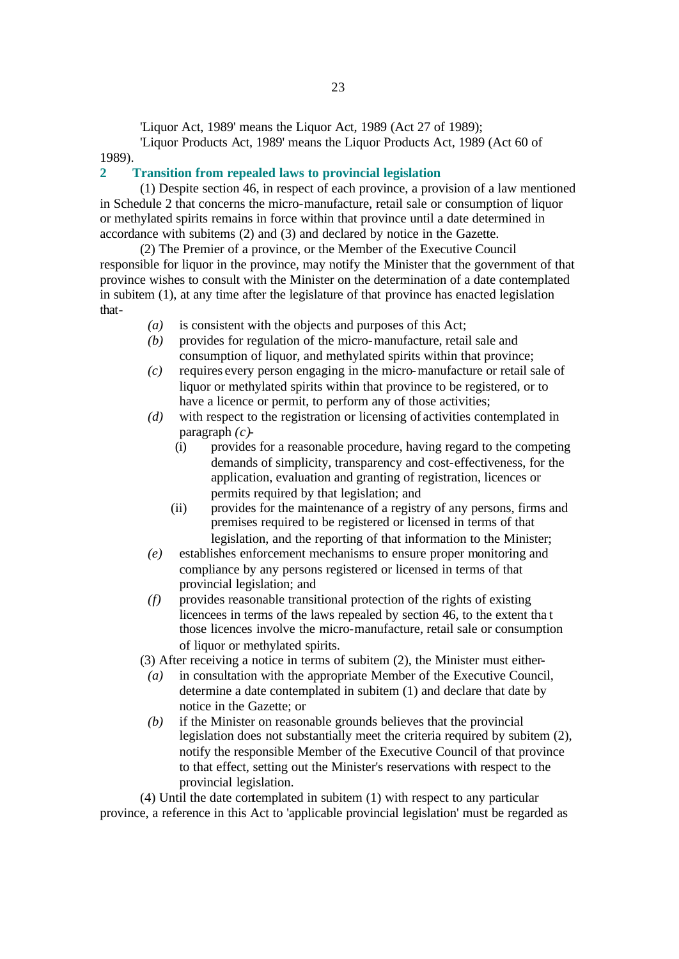'Liquor Act, 1989' means the Liquor Act, 1989 (Act 27 of 1989);

'Liquor Products Act, 1989' means the Liquor Products Act, 1989 (Act 60 of 1989).

#### **2 Transition from repealed laws to provincial legislation**

(1) Despite section 46, in respect of each province, a provision of a law mentioned in Schedule 2 that concerns the micro-manufacture, retail sale or consumption of liquor or methylated spirits remains in force within that province until a date determined in accordance with subitems (2) and (3) and declared by notice in the Gazette.

(2) The Premier of a province, or the Member of the Executive Council responsible for liquor in the province, may notify the Minister that the government of that province wishes to consult with the Minister on the determination of a date contemplated in subitem (1), at any time after the legislature of that province has enacted legislation that-

- *(a)* is consistent with the objects and purposes of this Act;
- *(b)* provides for regulation of the micro-manufacture, retail sale and consumption of liquor, and methylated spirits within that province;
- *(c)* requires every person engaging in the micro-manufacture or retail sale of liquor or methylated spirits within that province to be registered, or to have a licence or permit, to perform any of those activities;
- *(d)* with respect to the registration or licensing of activities contemplated in paragraph *(c)*-
	- (i) provides for a reasonable procedure, having regard to the competing demands of simplicity, transparency and cost-effectiveness, for the application, evaluation and granting of registration, licences or permits required by that legislation; and
	- (ii) provides for the maintenance of a registry of any persons, firms and premises required to be registered or licensed in terms of that legislation, and the reporting of that information to the Minister;
- *(e)* establishes enforcement mechanisms to ensure proper monitoring and compliance by any persons registered or licensed in terms of that provincial legislation; and
- *(f)* provides reasonable transitional protection of the rights of existing licencees in terms of the laws repealed by section 46, to the extent tha t those licences involve the micro-manufacture, retail sale or consumption of liquor or methylated spirits.

(3) After receiving a notice in terms of subitem (2), the Minister must either-

- *(a)* in consultation with the appropriate Member of the Executive Council, determine a date contemplated in subitem (1) and declare that date by notice in the Gazette; or
- *(b)* if the Minister on reasonable grounds believes that the provincial legislation does not substantially meet the criteria required by subitem (2), notify the responsible Member of the Executive Council of that province to that effect, setting out the Minister's reservations with respect to the provincial legislation.

(4) Until the date contemplated in subitem (1) with respect to any particular province, a reference in this Act to 'applicable provincial legislation' must be regarded as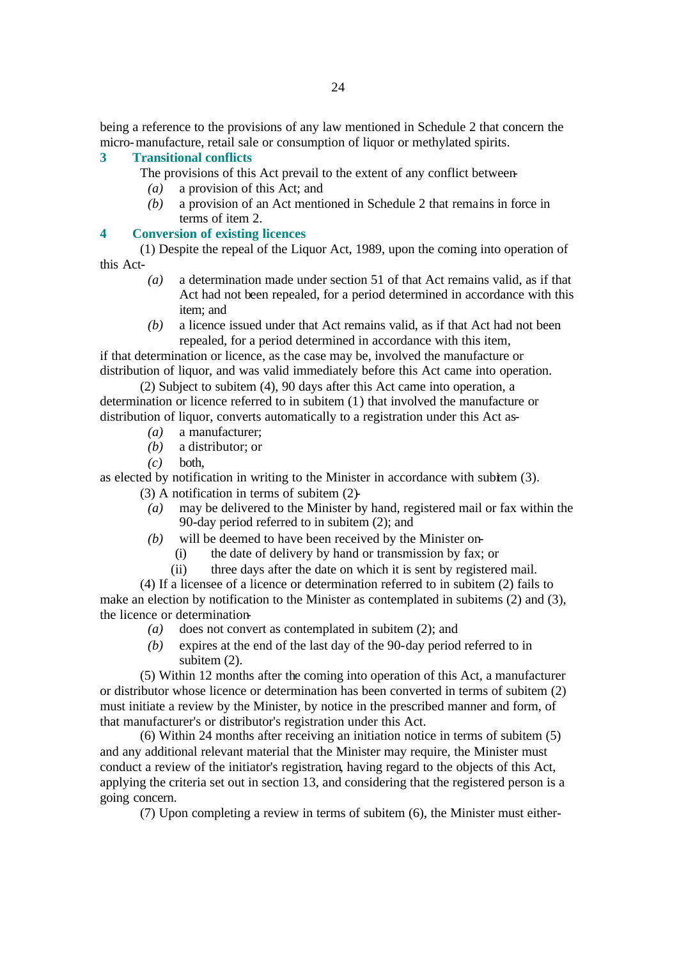being a reference to the provisions of any law mentioned in Schedule 2 that concern the micro-manufacture, retail sale or consumption of liquor or methylated spirits.

# **3 Transitional conflicts**

- The provisions of this Act prevail to the extent of any conflict between-
	- *(a)* a provision of this Act; and
- *(b)* a provision of an Act mentioned in Schedule 2 that remains in force in terms of item 2.

# **4 Conversion of existing licences**

(1) Despite the repeal of the Liquor Act, 1989, upon the coming into operation of this Act-

- *(a)* a determination made under section 51 of that Act remains valid, as if that Act had not been repealed, for a period determined in accordance with this item; and
- *(b)* a licence issued under that Act remains valid, as if that Act had not been repealed, for a period determined in accordance with this item,

if that determination or licence, as the case may be, involved the manufacture or distribution of liquor, and was valid immediately before this Act came into operation.

(2) Subject to subitem (4), 90 days after this Act came into operation, a determination or licence referred to in subitem (1) that involved the manufacture or distribution of liquor, converts automatically to a registration under this Act as-

- *(a)* a manufacturer;
- *(b)* a distributor; or
- *(c)* both,

as elected by notification in writing to the Minister in accordance with subitem (3).

- (3) A notification in terms of subitem (2)-
	- *(a)* may be delivered to the Minister by hand, registered mail or fax within the 90-day period referred to in subitem (2); and
	- *(b)* will be deemed to have been received by the Minister on-
		- (i) the date of delivery by hand or transmission by fax; or
		- (ii) three days after the date on which it is sent by registered mail.

(4) If a licensee of a licence or determination referred to in subitem (2) fails to make an election by notification to the Minister as contemplated in subitems (2) and (3), the licence or determination-

- *(a)* does not convert as contemplated in subitem (2); and
- *(b)* expires at the end of the last day of the 90-day period referred to in subitem  $(2)$ .

(5) Within 12 months after the coming into operation of this Act, a manufacturer or distributor whose licence or determination has been converted in terms of subitem (2) must initiate a review by the Minister, by notice in the prescribed manner and form, of that manufacturer's or distributor's registration under this Act.

(6) Within 24 months after receiving an initiation notice in terms of subitem (5) and any additional relevant material that the Minister may require, the Minister must conduct a review of the initiator's registration, having regard to the objects of this Act, applying the criteria set out in section 13, and considering that the registered person is a going concern.

(7) Upon completing a review in terms of subitem (6), the Minister must either-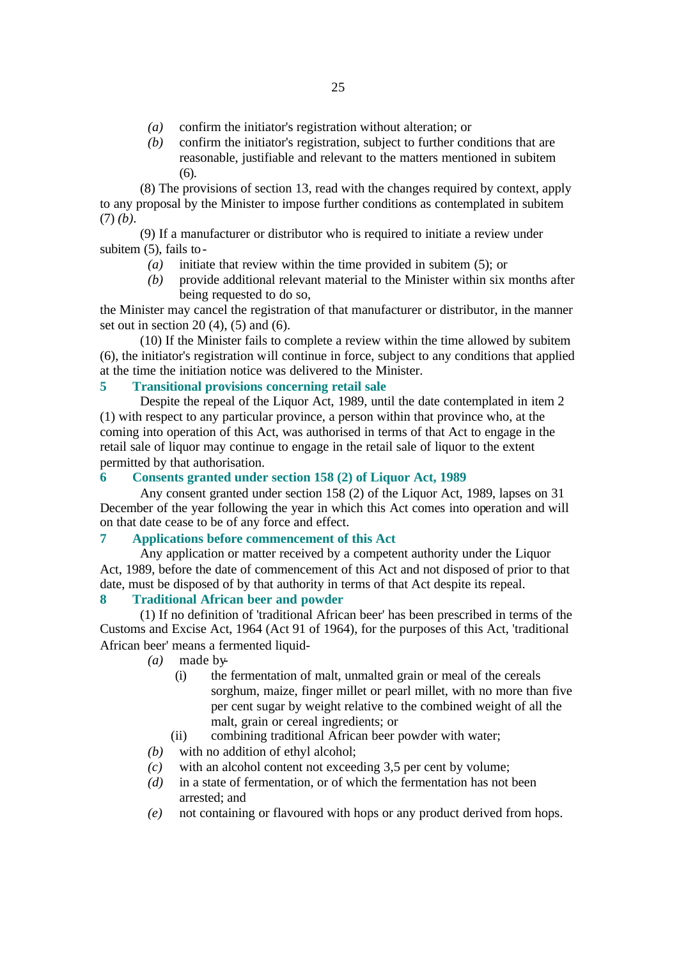- *(a)* confirm the initiator's registration without alteration; or
- *(b)* confirm the initiator's registration, subject to further conditions that are reasonable, justifiable and relevant to the matters mentioned in subitem (6).

(8) The provisions of section 13, read with the changes required by context, apply to any proposal by the Minister to impose further conditions as contemplated in subitem (7) *(b)*.

(9) If a manufacturer or distributor who is required to initiate a review under subitem (5), fails to-

- *(a)* initiate that review within the time provided in subitem (5); or
- *(b)* provide additional relevant material to the Minister within six months after being requested to do so,

the Minister may cancel the registration of that manufacturer or distributor, in the manner set out in section 20 $(4)$ ,  $(5)$  and  $(6)$ .

(10) If the Minister fails to complete a review within the time allowed by subitem (6), the initiator's registration will continue in force, subject to any conditions that applied at the time the initiation notice was delivered to the Minister.

# **5 Transitional provisions concerning retail sale**

Despite the repeal of the Liquor Act, 1989, until the date contemplated in item 2 (1) with respect to any particular province, a person within that province who, at the coming into operation of this Act, was authorised in terms of that Act to engage in the retail sale of liquor may continue to engage in the retail sale of liquor to the extent permitted by that authorisation.

#### **6 Consents granted under section 158 (2) of Liquor Act, 1989**

Any consent granted under section 158 (2) of the Liquor Act, 1989, lapses on 31 December of the year following the year in which this Act comes into operation and will on that date cease to be of any force and effect.

#### **7 Applications before commencement of this Act**

Any application or matter received by a competent authority under the Liquor Act, 1989, before the date of commencement of this Act and not disposed of prior to that date, must be disposed of by that authority in terms of that Act despite its repeal.

#### **8 Traditional African beer and powder**

(1) If no definition of 'traditional African beer' has been prescribed in terms of the Customs and Excise Act, 1964 (Act 91 of 1964), for the purposes of this Act, 'traditional African beer' means a fermented liquid-

- *(a)* made by-
	- (i) the fermentation of malt, unmalted grain or meal of the cereals sorghum, maize, finger millet or pearl millet, with no more than five per cent sugar by weight relative to the combined weight of all the malt, grain or cereal ingredients; or
	- (ii) combining traditional African beer powder with water;
- *(b)* with no addition of ethyl alcohol;
- *(c)* with an alcohol content not exceeding 3,5 per cent by volume;
- *(d)* in a state of fermentation, or of which the fermentation has not been arrested; and
- *(e)* not containing or flavoured with hops or any product derived from hops.